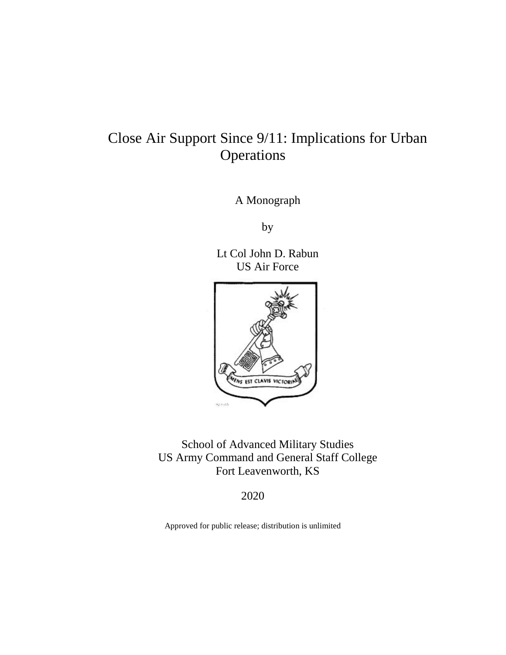# Close Air Support Since 9/11: Implications for Urban Operations

A Monograph

by

Lt Col John D. Rabun US Air Force



School of Advanced Military Studies US Army Command and General Staff College Fort Leavenworth, KS

2020

Approved for public release; distribution is unlimited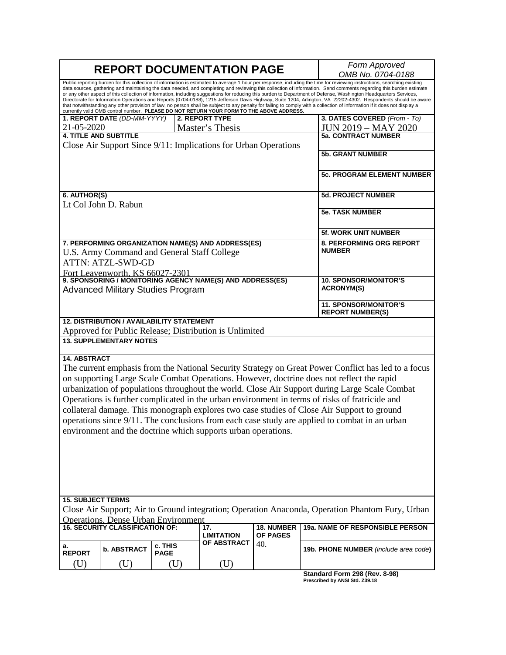| <b>REPORT DOCUMENTATION PAGE</b>                                                                                                                                                                                                                                                                                                                                                                                                                                                                                                                                                                                                                                                                                                                                                                                                                                      |                                                                                      |                        |                                                                                                            |                   | Form Approved<br>OMB No. 0704-0188                      |  |  |  |
|-----------------------------------------------------------------------------------------------------------------------------------------------------------------------------------------------------------------------------------------------------------------------------------------------------------------------------------------------------------------------------------------------------------------------------------------------------------------------------------------------------------------------------------------------------------------------------------------------------------------------------------------------------------------------------------------------------------------------------------------------------------------------------------------------------------------------------------------------------------------------|--------------------------------------------------------------------------------------|------------------------|------------------------------------------------------------------------------------------------------------|-------------------|---------------------------------------------------------|--|--|--|
| Public reporting burden for this collection of information is estimated to average 1 hour per response, including the time for reviewing instructions, searching existing<br>data sources, gathering and maintaining the data needed, and completing and reviewing this collection of information. Send comments regarding this burden estimate<br>or any other aspect of this collection of information, including suggestions for reducing this burden to Department of Defense, Washington Headquarters Services,<br>Directorate for Information Operations and Reports (0704-0188), 1215 Jefferson Davis Highway, Suite 1204, Arlington, VA 22202-4302. Respondents should be aware<br>that notwithstanding any other provision of law, no person shall be subject to any penalty for failing to comply with a collection of information if it does not display a |                                                                                      |                        |                                                                                                            |                   |                                                         |  |  |  |
|                                                                                                                                                                                                                                                                                                                                                                                                                                                                                                                                                                                                                                                                                                                                                                                                                                                                       | 1. REPORT DATE (DD-MM-YYYY)                                                          |                        | currently valid OMB control number. PLEASE DO NOT RETURN YOUR FORM TO THE ABOVE ADDRESS.<br>2. REPORT TYPE |                   | 3. DATES COVERED (From - To)                            |  |  |  |
| 21-05-2020                                                                                                                                                                                                                                                                                                                                                                                                                                                                                                                                                                                                                                                                                                                                                                                                                                                            |                                                                                      |                        | Master's Thesis                                                                                            |                   | <b>JUN 2019 - MAY 2020</b>                              |  |  |  |
|                                                                                                                                                                                                                                                                                                                                                                                                                                                                                                                                                                                                                                                                                                                                                                                                                                                                       | <b>4. TITLE AND SUBTITLE</b>                                                         |                        |                                                                                                            |                   | <b>5a. CONTRACT NUMBER</b>                              |  |  |  |
|                                                                                                                                                                                                                                                                                                                                                                                                                                                                                                                                                                                                                                                                                                                                                                                                                                                                       |                                                                                      |                        | Close Air Support Since 9/11: Implications for Urban Operations                                            |                   |                                                         |  |  |  |
|                                                                                                                                                                                                                                                                                                                                                                                                                                                                                                                                                                                                                                                                                                                                                                                                                                                                       |                                                                                      |                        |                                                                                                            |                   | <b>5b. GRANT NUMBER</b>                                 |  |  |  |
|                                                                                                                                                                                                                                                                                                                                                                                                                                                                                                                                                                                                                                                                                                                                                                                                                                                                       |                                                                                      |                        |                                                                                                            |                   | <b>5c. PROGRAM ELEMENT NUMBER</b>                       |  |  |  |
| 6. AUTHOR(S)                                                                                                                                                                                                                                                                                                                                                                                                                                                                                                                                                                                                                                                                                                                                                                                                                                                          |                                                                                      |                        |                                                                                                            |                   | <b>5d. PROJECT NUMBER</b>                               |  |  |  |
|                                                                                                                                                                                                                                                                                                                                                                                                                                                                                                                                                                                                                                                                                                                                                                                                                                                                       | Lt Col John D. Rabun                                                                 |                        |                                                                                                            |                   |                                                         |  |  |  |
|                                                                                                                                                                                                                                                                                                                                                                                                                                                                                                                                                                                                                                                                                                                                                                                                                                                                       |                                                                                      |                        |                                                                                                            |                   | <b>5e. TASK NUMBER</b>                                  |  |  |  |
|                                                                                                                                                                                                                                                                                                                                                                                                                                                                                                                                                                                                                                                                                                                                                                                                                                                                       |                                                                                      |                        |                                                                                                            |                   | 5f. WORK UNIT NUMBER                                    |  |  |  |
|                                                                                                                                                                                                                                                                                                                                                                                                                                                                                                                                                                                                                                                                                                                                                                                                                                                                       | U.S. Army Command and General Staff College<br><b>ATTN: ATZL-SWD-GD</b>              |                        | 7. PERFORMING ORGANIZATION NAME(S) AND ADDRESS(ES)                                                         |                   | 8. PERFORMING ORG REPORT<br><b>NUMBER</b>               |  |  |  |
|                                                                                                                                                                                                                                                                                                                                                                                                                                                                                                                                                                                                                                                                                                                                                                                                                                                                       |                                                                                      |                        |                                                                                                            |                   |                                                         |  |  |  |
| Fort Leavenworth, KS 66027-2301<br>9. SPONSORING / MONITORING AGENCY NAME(S) AND ADDRESS(ES)<br><b>Advanced Military Studies Program</b>                                                                                                                                                                                                                                                                                                                                                                                                                                                                                                                                                                                                                                                                                                                              |                                                                                      |                        |                                                                                                            |                   | <b>10. SPONSOR/MONITOR'S</b><br><b>ACRONYM(S)</b>       |  |  |  |
|                                                                                                                                                                                                                                                                                                                                                                                                                                                                                                                                                                                                                                                                                                                                                                                                                                                                       |                                                                                      |                        |                                                                                                            |                   | <b>11. SPONSOR/MONITOR'S</b><br><b>REPORT NUMBER(S)</b> |  |  |  |
|                                                                                                                                                                                                                                                                                                                                                                                                                                                                                                                                                                                                                                                                                                                                                                                                                                                                       | 12. DISTRIBUTION / AVAILABILITY STATEMENT                                            |                        | Approved for Public Release; Distribution is Unlimited                                                     |                   |                                                         |  |  |  |
|                                                                                                                                                                                                                                                                                                                                                                                                                                                                                                                                                                                                                                                                                                                                                                                                                                                                       | <b>13. SUPPLEMENTARY NOTES</b>                                                       |                        |                                                                                                            |                   |                                                         |  |  |  |
| <b>14. ABSTRACT</b><br>The current emphasis from the National Security Strategy on Great Power Conflict has led to a focus<br>on supporting Large Scale Combat Operations. However, doctrine does not reflect the rapid<br>urbanization of populations throughout the world. Close Air Support during Large Scale Combat<br>Operations is further complicated in the urban environment in terms of risks of fratricide and<br>collateral damage. This monograph explores two case studies of Close Air Support to ground<br>operations since 9/11. The conclusions from each case study are applied to combat in an urban<br>environment and the doctrine which supports urban operations.                                                                                                                                                                            |                                                                                      |                        |                                                                                                            |                   |                                                         |  |  |  |
| <b>15. SUBJECT TERMS</b><br>Close Air Support; Air to Ground integration; Operation Anaconda, Operation Phantom Fury, Urban                                                                                                                                                                                                                                                                                                                                                                                                                                                                                                                                                                                                                                                                                                                                           |                                                                                      |                        |                                                                                                            |                   |                                                         |  |  |  |
|                                                                                                                                                                                                                                                                                                                                                                                                                                                                                                                                                                                                                                                                                                                                                                                                                                                                       | <b>Operations, Dense Urban Environment</b><br><b>16. SECURITY CLASSIFICATION OF:</b> |                        |                                                                                                            | <b>18. NUMBER</b> |                                                         |  |  |  |
|                                                                                                                                                                                                                                                                                                                                                                                                                                                                                                                                                                                                                                                                                                                                                                                                                                                                       |                                                                                      |                        | 17.<br><b>LIMITATION</b>                                                                                   | OF PAGES          | 19a. NAME OF RESPONSIBLE PERSON                         |  |  |  |
| а.<br><b>REPORT</b>                                                                                                                                                                                                                                                                                                                                                                                                                                                                                                                                                                                                                                                                                                                                                                                                                                                   | <b>b. ABSTRACT</b>                                                                   | c. THIS<br><b>PAGE</b> | <b>OF ABSTRACT</b>                                                                                         | 40.               | 19b. PHONE NUMBER (include area code)                   |  |  |  |
| (U)                                                                                                                                                                                                                                                                                                                                                                                                                                                                                                                                                                                                                                                                                                                                                                                                                                                                   | (U)                                                                                  | (U)                    | (U)                                                                                                        |                   | Standard Form 298 (Rev. 8-98)                           |  |  |  |

**Standard Form 298 (Rev. 8-98) Prescribed by ANSI Std. Z39.18**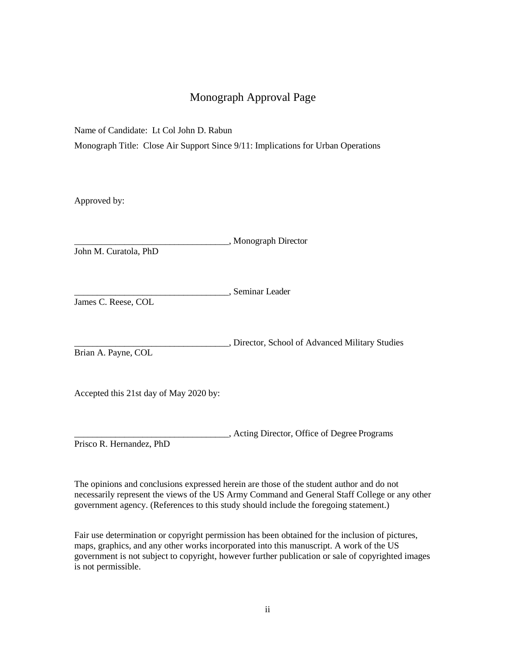## Monograph Approval Page

Name of Candidate: Lt Col John D. Rabun

Monograph Title: Close Air Support Since 9/11: Implications for Urban Operations

Approved by:

|                    | , Monograph Director |
|--------------------|----------------------|
| L.L. M. C. 1. D.L. |                      |

John M. Curatola, PhD

\_\_\_\_\_\_\_\_\_\_\_\_\_\_\_\_\_\_\_\_\_\_\_\_\_\_\_\_\_\_\_\_\_\_, Seminar Leader

James C. Reese, COL

\_\_\_\_\_\_\_\_\_\_\_\_\_\_\_\_\_\_\_\_\_\_\_\_\_\_\_\_\_\_\_\_\_\_, Director, School of Advanced Military Studies

Brian A. Payne, COL

Accepted this 21st day of May 2020 by:

\_\_\_\_\_\_\_\_\_\_\_\_\_\_\_\_\_\_\_\_\_\_\_\_\_\_\_\_\_\_\_\_\_\_, Acting Director, Office of Degree Programs

Prisco R. Hernandez, PhD

The opinions and conclusions expressed herein are those of the student author and do not necessarily represent the views of the US Army Command and General Staff College or any other government agency. (References to this study should include the foregoing statement.)

Fair use determination or copyright permission has been obtained for the inclusion of pictures, maps, graphics, and any other works incorporated into this manuscript. A work of the US government is not subject to copyright, however further publication or sale of copyrighted images is not permissible.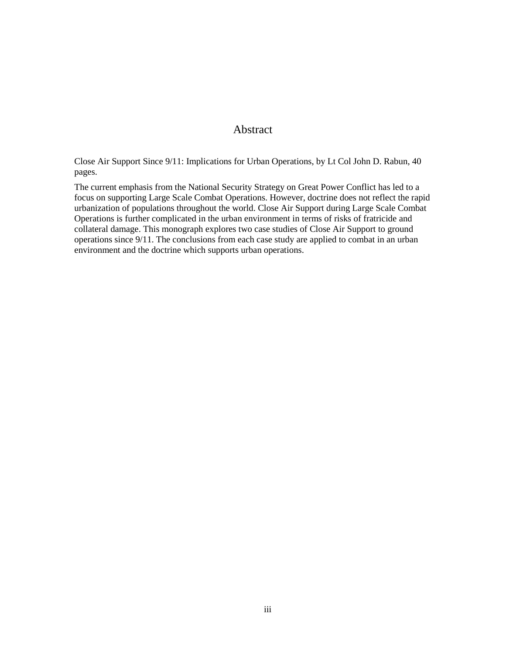### Abstract

Close Air Support Since 9/11: Implications for Urban Operations, by Lt Col John D. Rabun, 40 pages.

The current emphasis from the National Security Strategy on Great Power Conflict has led to a focus on supporting Large Scale Combat Operations. However, doctrine does not reflect the rapid urbanization of populations throughout the world. Close Air Support during Large Scale Combat Operations is further complicated in the urban environment in terms of risks of fratricide and collateral damage. This monograph explores two case studies of Close Air Support to ground operations since 9/11. The conclusions from each case study are applied to combat in an urban environment and the doctrine which supports urban operations.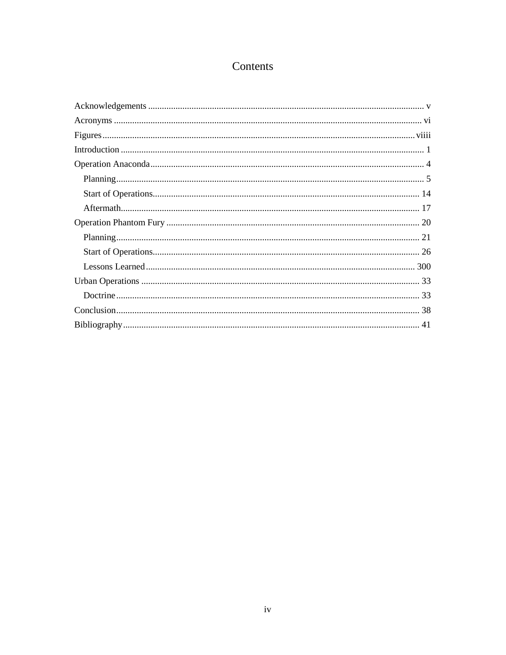## Contents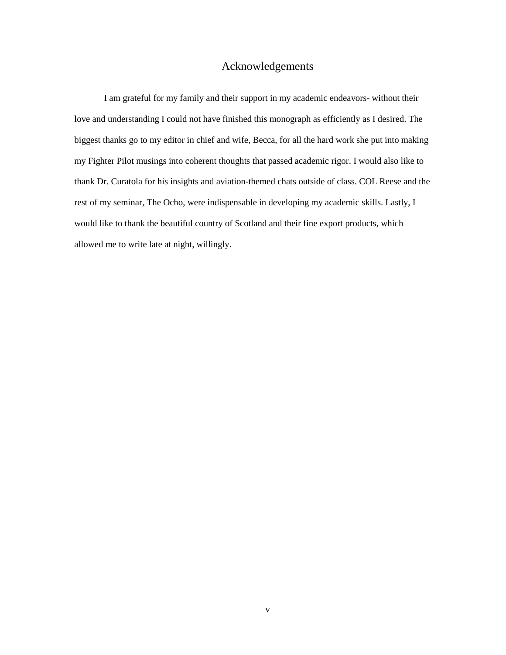### Acknowledgements

<span id="page-5-0"></span>I am grateful for my family and their support in my academic endeavors- without their love and understanding I could not have finished this monograph as efficiently as I desired. The biggest thanks go to my editor in chief and wife, Becca, for all the hard work she put into making my Fighter Pilot musings into coherent thoughts that passed academic rigor. I would also like to thank Dr. Curatola for his insights and aviation-themed chats outside of class. COL Reese and the rest of my seminar, The Ocho, were indispensable in developing my academic skills. Lastly, I would like to thank the beautiful country of Scotland and their fine export products, which allowed me to write late at night, willingly.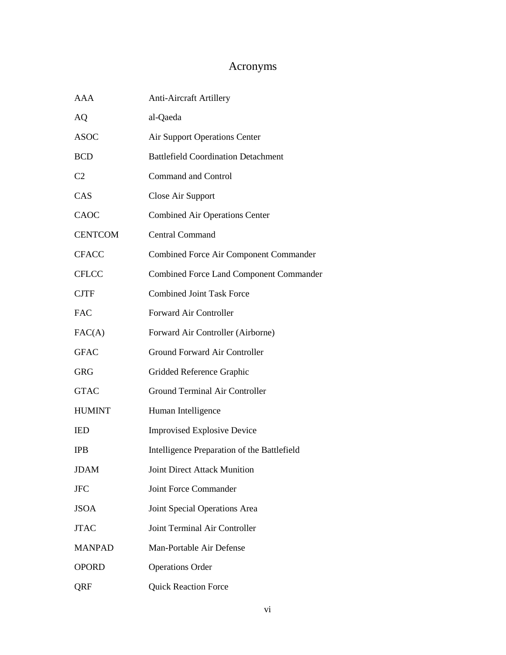## Acronyms

<span id="page-6-0"></span>

| <b>AAA</b>     | <b>Anti-Aircraft Artillery</b>                 |
|----------------|------------------------------------------------|
| <b>AQ</b>      | al-Qaeda                                       |
| <b>ASOC</b>    | <b>Air Support Operations Center</b>           |
| <b>BCD</b>     | <b>Battlefield Coordination Detachment</b>     |
| C <sub>2</sub> | <b>Command and Control</b>                     |
| CAS            | Close Air Support                              |
| CAOC           | <b>Combined Air Operations Center</b>          |
| <b>CENTCOM</b> | <b>Central Command</b>                         |
| <b>CFACC</b>   | <b>Combined Force Air Component Commander</b>  |
| <b>CFLCC</b>   | <b>Combined Force Land Component Commander</b> |
| <b>CJTF</b>    | <b>Combined Joint Task Force</b>               |
| <b>FAC</b>     | Forward Air Controller                         |
| FAC(A)         | Forward Air Controller (Airborne)              |
| <b>GFAC</b>    | Ground Forward Air Controller                  |
| <b>GRG</b>     | Gridded Reference Graphic                      |
| <b>GTAC</b>    | <b>Ground Terminal Air Controller</b>          |
| <b>HUMINT</b>  | Human Intelligence                             |
| <b>IED</b>     | <b>Improvised Explosive Device</b>             |
| <b>IPB</b>     | Intelligence Preparation of the Battlefield    |
| <b>JDAM</b>    | <b>Joint Direct Attack Munition</b>            |
| <b>JFC</b>     | <b>Joint Force Commander</b>                   |
| <b>JSOA</b>    | Joint Special Operations Area                  |
| <b>JTAC</b>    | Joint Terminal Air Controller                  |
| <b>MANPAD</b>  | Man-Portable Air Defense                       |
| <b>OPORD</b>   | <b>Operations Order</b>                        |
| QRF            | <b>Quick Reaction Force</b>                    |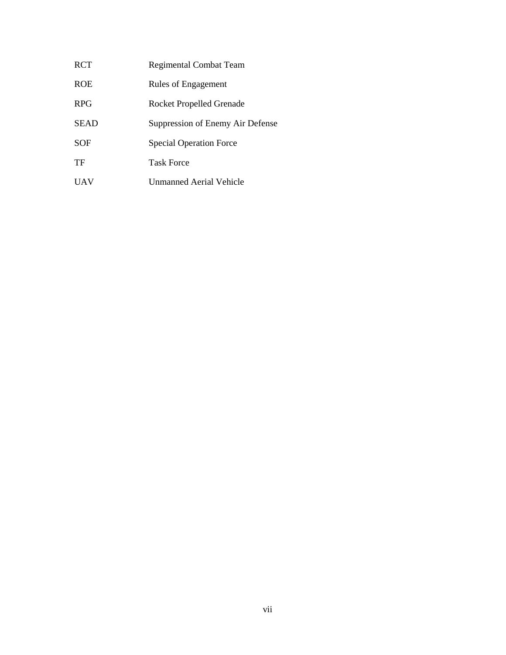RCT Regimental Combat Team ROE Rules of Engagement RPG Rocket Propelled Grenade SEAD Suppression of Enemy Air Defense SOF Special Operation Force TF Task Force UAV Unmanned Aerial Vehicle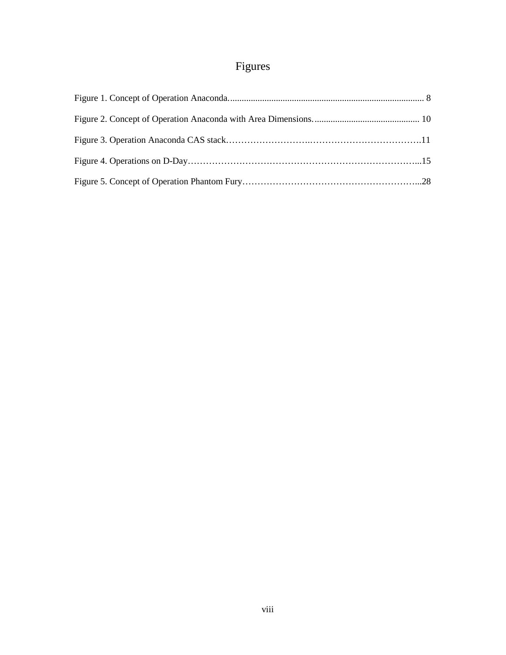## Figures

<span id="page-8-0"></span>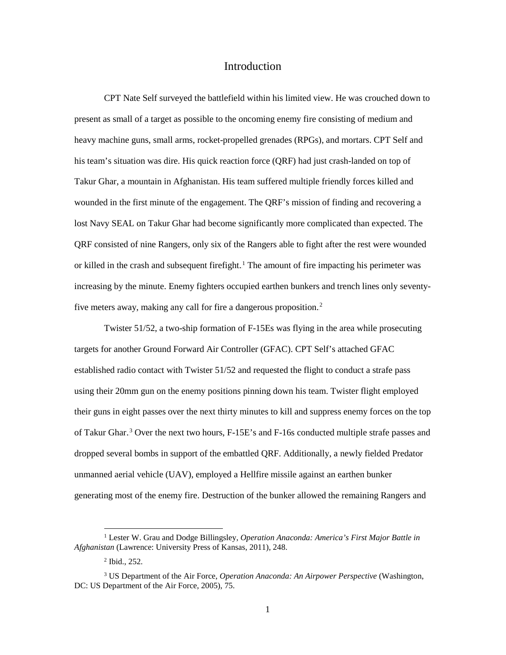#### Introduction

<span id="page-9-0"></span>CPT Nate Self surveyed the battlefield within his limited view. He was crouched down to present as small of a target as possible to the oncoming enemy fire consisting of medium and heavy machine guns, small arms, rocket-propelled grenades (RPGs), and mortars. CPT Self and his team's situation was dire. His quick reaction force (QRF) had just crash-landed on top of Takur Ghar, a mountain in Afghanistan. His team suffered multiple friendly forces killed and wounded in the first minute of the engagement. The QRF's mission of finding and recovering a lost Navy SEAL on Takur Ghar had become significantly more complicated than expected. The QRF consisted of nine Rangers, only six of the Rangers able to fight after the rest were wounded or killed in the crash and subsequent firefight.<sup>1</sup> The amount of fire impacting his perimeter was increasing by the minute. Enemy fighters occupied earthen bunkers and trench lines only seventyfive meters away, making any call for fire a dangerous proposition. $2$ 

Twister 51/52, a two-ship formation of F-15Es was flying in the area while prosecuting targets for another Ground Forward Air Controller (GFAC). CPT Self's attached GFAC established radio contact with Twister 51/52 and requested the flight to conduct a strafe pass using their 20mm gun on the enemy positions pinning down his team. Twister flight employed their guns in eight passes over the next thirty minutes to kill and suppress enemy forces on the top of Takur Ghar.<sup>3</sup> Over the next two hours, F-15E's and F-16s conducted multiple strafe passes and dropped several bombs in support of the embattled QRF. Additionally, a newly fielded Predator unmanned aerial vehicle (UAV), employed a Hellfire missile against an earthen bunker generating most of the enemy fire. Destruction of the bunker allowed the remaining Rangers and

<sup>1</sup> Lester W. Grau and Dodge Billingsley, *Operation Anaconda: America's First Major Battle in Afghanistan* (Lawrence: University Press of Kansas, 2011), 248.

<sup>2</sup> Ibid., 252.

<sup>3</sup> US Department of the Air Force, *Operation Anaconda: An Airpower Perspective* (Washington, DC: US Department of the Air Force, 2005), 75.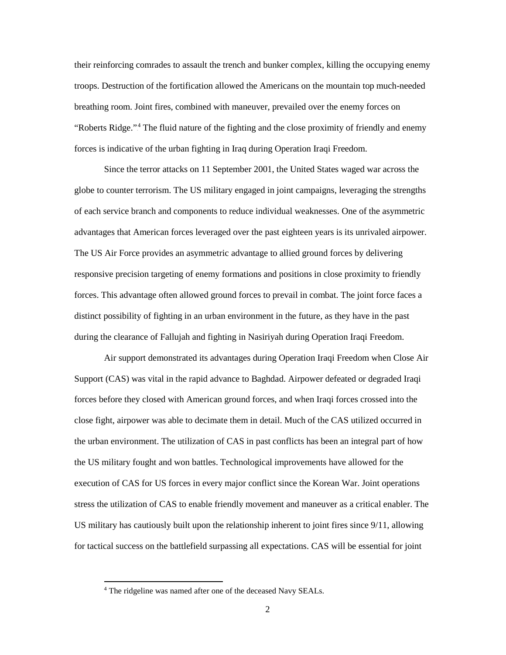their reinforcing comrades to assault the trench and bunker complex, killing the occupying enemy troops. Destruction of the fortification allowed the Americans on the mountain top much-needed breathing room. Joint fires, combined with maneuver, prevailed over the enemy forces on "Roberts Ridge."<sup>4</sup> The fluid nature of the fighting and the close proximity of friendly and enemy forces is indicative of the urban fighting in Iraq during Operation Iraqi Freedom.

Since the terror attacks on 11 September 2001, the United States waged war across the globe to counter terrorism. The US military engaged in joint campaigns, leveraging the strengths of each service branch and components to reduce individual weaknesses. One of the asymmetric advantages that American forces leveraged over the past eighteen years is its unrivaled airpower. The US Air Force provides an asymmetric advantage to allied ground forces by delivering responsive precision targeting of enemy formations and positions in close proximity to friendly forces. This advantage often allowed ground forces to prevail in combat. The joint force faces a distinct possibility of fighting in an urban environment in the future, as they have in the past during the clearance of Fallujah and fighting in Nasiriyah during Operation Iraqi Freedom.

Air support demonstrated its advantages during Operation Iraqi Freedom when Close Air Support (CAS) was vital in the rapid advance to Baghdad. Airpower defeated or degraded Iraqi forces before they closed with American ground forces, and when Iraqi forces crossed into the close fight, airpower was able to decimate them in detail. Much of the CAS utilized occurred in the urban environment. The utilization of CAS in past conflicts has been an integral part of how the US military fought and won battles. Technological improvements have allowed for the execution of CAS for US forces in every major conflict since the Korean War. Joint operations stress the utilization of CAS to enable friendly movement and maneuver as a critical enabler. The US military has cautiously built upon the relationship inherent to joint fires since 9/11, allowing for tactical success on the battlefield surpassing all expectations. CAS will be essential for joint

<sup>4</sup> The ridgeline was named after one of the deceased Navy SEALs.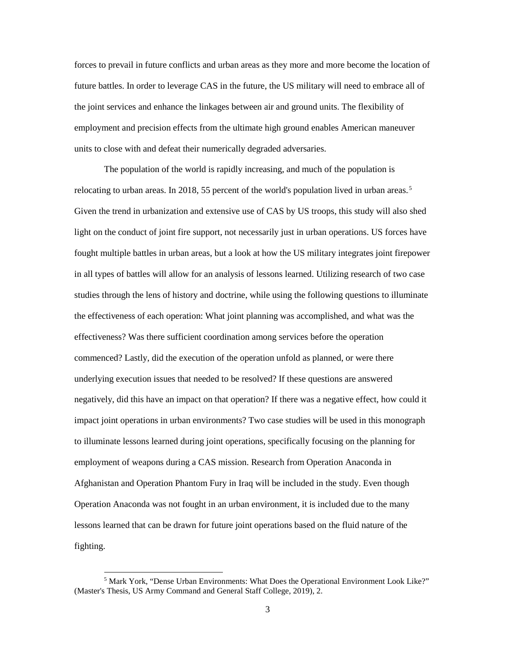forces to prevail in future conflicts and urban areas as they more and more become the location of future battles. In order to leverage CAS in the future, the US military will need to embrace all of the joint services and enhance the linkages between air and ground units. The flexibility of employment and precision effects from the ultimate high ground enables American maneuver units to close with and defeat their numerically degraded adversaries.

The population of the world is rapidly increasing, and much of the population is relocating to urban areas. In 2018, 55 percent of the world's population lived in urban areas.<sup>5</sup> Given the trend in urbanization and extensive use of CAS by US troops, this study will also shed light on the conduct of joint fire support, not necessarily just in urban operations. US forces have fought multiple battles in urban areas, but a look at how the US military integrates joint firepower in all types of battles will allow for an analysis of lessons learned. Utilizing research of two case studies through the lens of history and doctrine, while using the following questions to illuminate the effectiveness of each operation: What joint planning was accomplished, and what was the effectiveness? Was there sufficient coordination among services before the operation commenced? Lastly, did the execution of the operation unfold as planned, or were there underlying execution issues that needed to be resolved? If these questions are answered negatively, did this have an impact on that operation? If there was a negative effect, how could it impact joint operations in urban environments? Two case studies will be used in this monograph to illuminate lessons learned during joint operations, specifically focusing on the planning for employment of weapons during a CAS mission. Research from Operation Anaconda in Afghanistan and Operation Phantom Fury in Iraq will be included in the study. Even though Operation Anaconda was not fought in an urban environment, it is included due to the many lessons learned that can be drawn for future joint operations based on the fluid nature of the fighting.

<sup>&</sup>lt;sup>5</sup> Mark York, "Dense Urban Environments: What Does the Operational Environment Look Like?" (Master's Thesis, US Army Command and General Staff College, 2019), 2.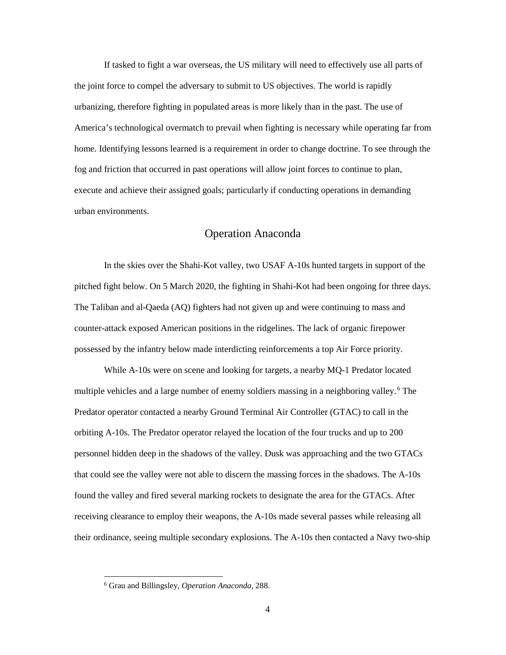If tasked to fight a war overseas, the US military will need to effectively use all parts of the joint force to compel the adversary to submit to US objectives. The world is rapidly urbanizing, therefore fighting in populated areas is more likely than in the past. The use of America's technological overmatch to prevail when fighting is necessary while operating far from home. Identifying lessons learned is a requirement in order to change doctrine. To see through the fog and friction that occurred in past operations will allow joint forces to continue to plan, execute and achieve their assigned goals; particularly if conducting operations in demanding urban environments.

### Operation Anaconda

<span id="page-12-0"></span>In the skies over the Shahi-Kot valley, two USAF A-10s hunted targets in support of the pitched fight below. On 5 March 2020, the fighting in Shahi-Kot had been ongoing for three days. The Taliban and al-Qaeda (AQ) fighters had not given up and were continuing to mass and counter-attack exposed American positions in the ridgelines. The lack of organic firepower possessed by the infantry below made interdicting reinforcements a top Air Force priority.

While A-10s were on scene and looking for targets, a nearby MQ-1 Predator located multiple vehicles and a large number of enemy soldiers massing in a neighboring valley.<sup>6</sup> The Predator operator contacted a nearby Ground Terminal Air Controller (GTAC) to call in the orbiting A-10s. The Predator operator relayed the location of the four trucks and up to 200 personnel hidden deep in the shadows of the valley. Dusk was approaching and the two GTACs that could see the valley were not able to discern the massing forces in the shadows. The A-10s found the valley and fired several marking rockets to designate the area for the GTACs. After receiving clearance to employ their weapons, the A-10s made several passes while releasing all their ordinance, seeing multiple secondary explosions. The A-10s then contacted a Navy two-ship

<sup>6</sup> Grau and Billingsley, *Operation Anaconda,* 288.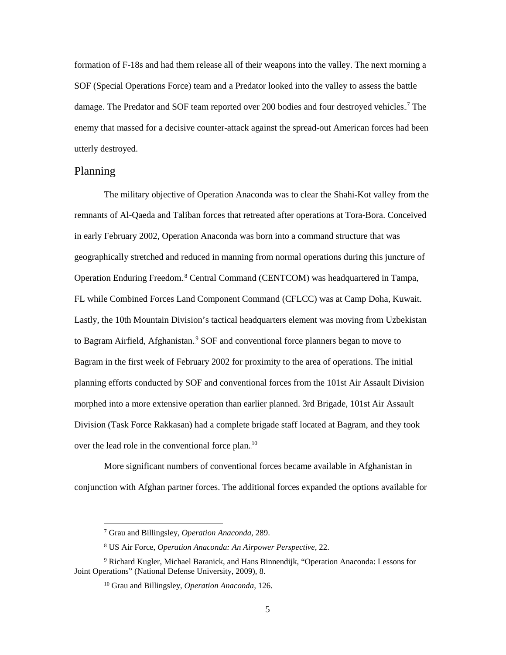formation of F-18s and had them release all of their weapons into the valley. The next morning a SOF (Special Operations Force) team and a Predator looked into the valley to assess the battle damage. The Predator and SOF team reported over 200 bodies and four destroyed vehicles.<sup>7</sup> The enemy that massed for a decisive counter-attack against the spread-out American forces had been utterly destroyed.

#### <span id="page-13-0"></span>Planning

 $\overline{a}$ 

The military objective of Operation Anaconda was to clear the Shahi-Kot valley from the remnants of Al-Qaeda and Taliban forces that retreated after operations at Tora-Bora. Conceived in early February 2002, Operation Anaconda was born into a command structure that was geographically stretched and reduced in manning from normal operations during this juncture of Operation Enduring Freedom.<sup>8</sup> Central Command (CENTCOM) was headquartered in Tampa, FL while Combined Forces Land Component Command (CFLCC) was at Camp Doha, Kuwait. Lastly, the 10th Mountain Division's tactical headquarters element was moving from Uzbekistan to Bagram Airfield, Afghanistan.<sup>9</sup> SOF and conventional force planners began to move to Bagram in the first week of February 2002 for proximity to the area of operations. The initial planning efforts conducted by SOF and conventional forces from the 101st Air Assault Division morphed into a more extensive operation than earlier planned. 3rd Brigade, 101st Air Assault Division (Task Force Rakkasan) had a complete brigade staff located at Bagram, and they took over the lead role in the conventional force plan.<sup>10</sup>

More significant numbers of conventional forces became available in Afghanistan in conjunction with Afghan partner forces. The additional forces expanded the options available for

<sup>7</sup> Grau and Billingsley, *Operation Anaconda,* 289.

<sup>8</sup> US Air Force, *Operation Anaconda: An Airpower Perspective,* 22.

<sup>9</sup> Richard Kugler, Michael Baranick, and Hans Binnendijk, "Operation Anaconda: Lessons for Joint Operations" (National Defense University, 2009), 8.

<sup>10</sup> Grau and Billingsley, *Operation Anaconda,* 126.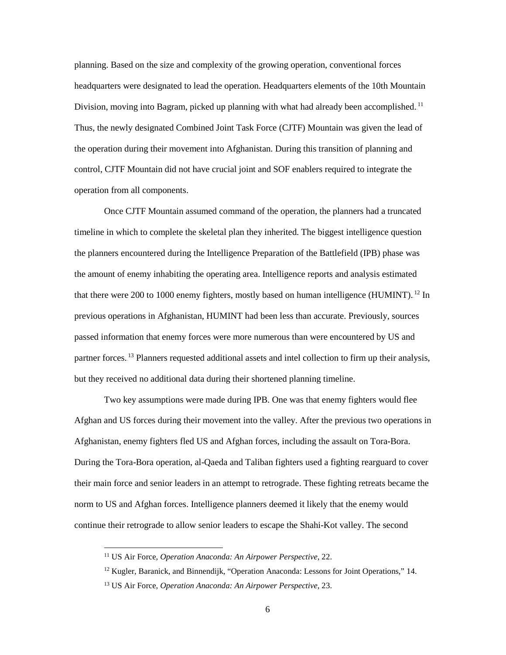planning. Based on the size and complexity of the growing operation, conventional forces headquarters were designated to lead the operation. Headquarters elements of the 10th Mountain Division, moving into Bagram, picked up planning with what had already been accomplished.<sup>11</sup> Thus, the newly designated Combined Joint Task Force (CJTF) Mountain was given the lead of the operation during their movement into Afghanistan. During this transition of planning and control, CJTF Mountain did not have crucial joint and SOF enablers required to integrate the operation from all components.

Once CJTF Mountain assumed command of the operation, the planners had a truncated timeline in which to complete the skeletal plan they inherited. The biggest intelligence question the planners encountered during the Intelligence Preparation of the Battlefield (IPB) phase was the amount of enemy inhabiting the operating area. Intelligence reports and analysis estimated that there were 200 to 1000 enemy fighters, mostly based on human intelligence (HUMINT).<sup>12</sup> In previous operations in Afghanistan, HUMINT had been less than accurate. Previously, sources passed information that enemy forces were more numerous than were encountered by US and partner forces.<sup>13</sup> Planners requested additional assets and intel collection to firm up their analysis, but they received no additional data during their shortened planning timeline.

Two key assumptions were made during IPB. One was that enemy fighters would flee Afghan and US forces during their movement into the valley. After the previous two operations in Afghanistan, enemy fighters fled US and Afghan forces, including the assault on Tora-Bora. During the Tora-Bora operation, al-Qaeda and Taliban fighters used a fighting rearguard to cover their main force and senior leaders in an attempt to retrograde. These fighting retreats became the norm to US and Afghan forces. Intelligence planners deemed it likely that the enemy would continue their retrograde to allow senior leaders to escape the Shahi-Kot valley. The second

<sup>11</sup> US Air Force, *Operation Anaconda: An Airpower Perspective,* 22.

 $12$  Kugler, Baranick, and Binnendijk, "Operation Anaconda: Lessons for Joint Operations," 14.

<sup>13</sup> US Air Force, *Operation Anaconda: An Airpower Perspective,* 23.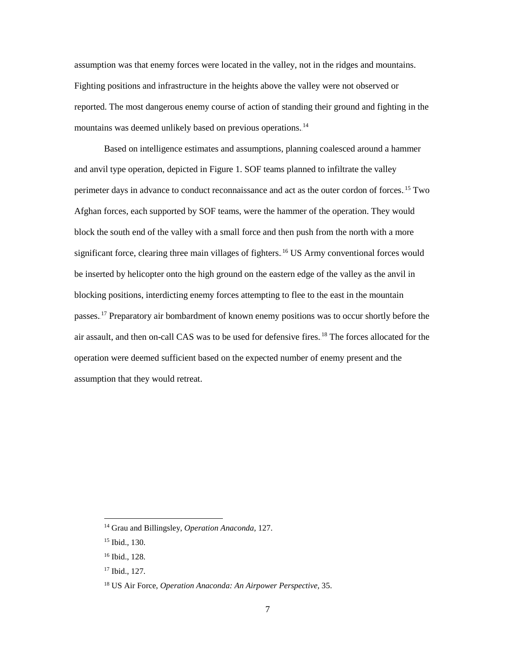assumption was that enemy forces were located in the valley, not in the ridges and mountains. Fighting positions and infrastructure in the heights above the valley were not observed or reported. The most dangerous enemy course of action of standing their ground and fighting in the mountains was deemed unlikely based on previous operations.<sup>14</sup>

Based on intelligence estimates and assumptions, planning coalesced around a hammer and anvil type operation, depicted in Figure 1. SOF teams planned to infiltrate the valley perimeter days in advance to conduct reconnaissance and act as the outer cordon of forces.<sup>15</sup> Two Afghan forces, each supported by SOF teams, were the hammer of the operation. They would block the south end of the valley with a small force and then push from the north with a more significant force, clearing three main villages of fighters.<sup>16</sup> US Army conventional forces would be inserted by helicopter onto the high ground on the eastern edge of the valley as the anvil in blocking positions, interdicting enemy forces attempting to flee to the east in the mountain passes.<sup>17</sup> Preparatory air bombardment of known enemy positions was to occur shortly before the air assault, and then on-call CAS was to be used for defensive fires.<sup>18</sup> The forces allocated for the operation were deemed sufficient based on the expected number of enemy present and the assumption that they would retreat.

<sup>14</sup> Grau and Billingsley, *Operation Anaconda,* 127.

<sup>15</sup> Ibid.*,* 130.

<sup>16</sup> Ibid., 128.

<sup>17</sup> Ibid., 127.

<sup>18</sup> US Air Force, *Operation Anaconda: An Airpower Perspective,* 35.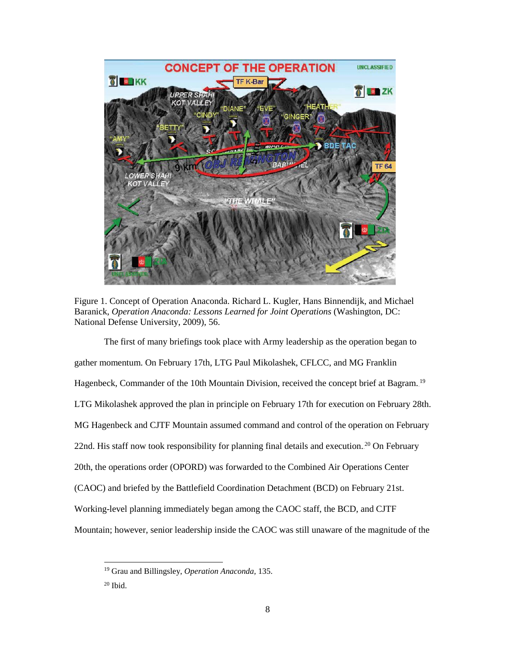

Figure 1. Concept of Operation Anaconda. Richard L. Kugler, Hans Binnendijk, and Michael Baranick, *Operation Anaconda: Lessons Learned for Joint Operations* (Washington, DC: National Defense University, 2009), 56.

The first of many briefings took place with Army leadership as the operation began to gather momentum. On February 17th, LTG Paul Mikolashek, CFLCC, and MG Franklin Hagenbeck, Commander of the 10th Mountain Division, received the concept brief at Bagram.<sup>19</sup> LTG Mikolashek approved the plan in principle on February 17th for execution on February 28th. MG Hagenbeck and CJTF Mountain assumed command and control of the operation on February 22nd. His staff now took responsibility for planning final details and execution.<sup>20</sup> On February 20th, the operations order (OPORD) was forwarded to the Combined Air Operations Center (CAOC) and briefed by the Battlefield Coordination Detachment (BCD) on February 21st. Working-level planning immediately began among the CAOC staff, the BCD, and CJTF Mountain; however, senior leadership inside the CAOC was still unaware of the magnitude of the

<sup>19</sup> Grau and Billingsley, *Operation Anaconda,* 135.

 $20$  Ibid.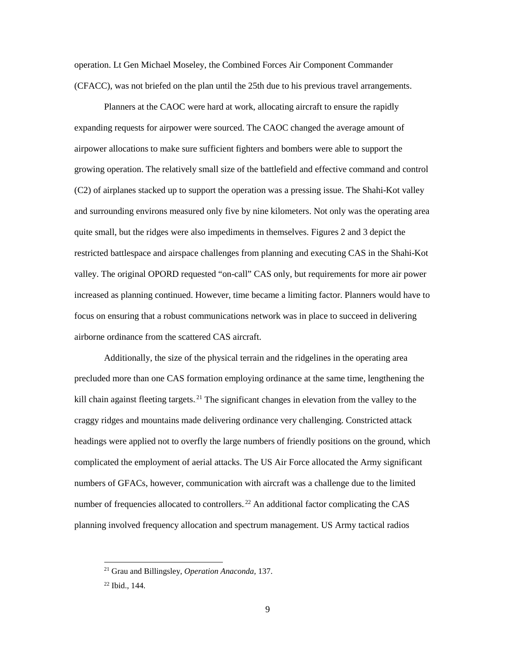operation. Lt Gen Michael Moseley, the Combined Forces Air Component Commander (CFACC), was not briefed on the plan until the 25th due to his previous travel arrangements.

Planners at the CAOC were hard at work, allocating aircraft to ensure the rapidly expanding requests for airpower were sourced. The CAOC changed the average amount of airpower allocations to make sure sufficient fighters and bombers were able to support the growing operation. The relatively small size of the battlefield and effective command and control (C2) of airplanes stacked up to support the operation was a pressing issue. The Shahi-Kot valley and surrounding environs measured only five by nine kilometers. Not only was the operating area quite small, but the ridges were also impediments in themselves. Figures 2 and 3 depict the restricted battlespace and airspace challenges from planning and executing CAS in the Shahi-Kot valley. The original OPORD requested "on-call" CAS only, but requirements for more air power increased as planning continued. However, time became a limiting factor. Planners would have to focus on ensuring that a robust communications network was in place to succeed in delivering airborne ordinance from the scattered CAS aircraft.

Additionally, the size of the physical terrain and the ridgelines in the operating area precluded more than one CAS formation employing ordinance at the same time, lengthening the kill chain against fleeting targets.<sup>21</sup> The significant changes in elevation from the valley to the craggy ridges and mountains made delivering ordinance very challenging. Constricted attack headings were applied not to overfly the large numbers of friendly positions on the ground, which complicated the employment of aerial attacks. The US Air Force allocated the Army significant numbers of GFACs, however, communication with aircraft was a challenge due to the limited number of frequencies allocated to controllers.<sup>22</sup> An additional factor complicating the CAS planning involved frequency allocation and spectrum management. US Army tactical radios

<sup>21</sup> Grau and Billingsley, *Operation Anaconda,* 137.

<sup>22</sup> Ibid.*,* 144.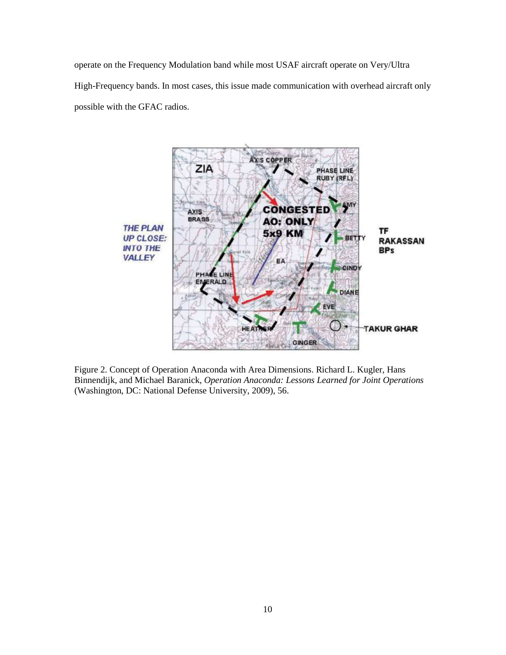operate on the Frequency Modulation band while most USAF aircraft operate on Very/Ultra High-Frequency bands. In most cases, this issue made communication with overhead aircraft only possible with the GFAC radios.



Figure 2. Concept of Operation Anaconda with Area Dimensions. Richard L. Kugler, Hans Binnendijk, and Michael Baranick, *Operation Anaconda: Lessons Learned for Joint Operations* (Washington, DC: National Defense University, 2009), 56.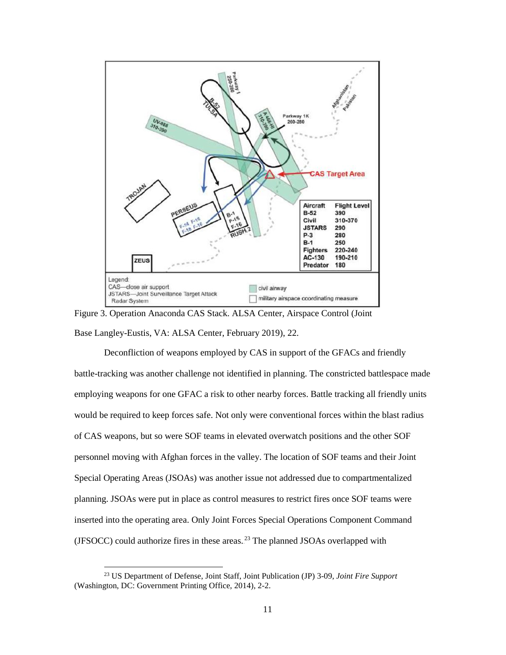

Figure 3. Operation Anaconda CAS Stack. ALSA Center, Airspace Control (Joint Base Langley-Eustis, VA: ALSA Center, February 2019), 22.

Deconfliction of weapons employed by CAS in support of the GFACs and friendly battle-tracking was another challenge not identified in planning. The constricted battlespace made employing weapons for one GFAC a risk to other nearby forces. Battle tracking all friendly units would be required to keep forces safe. Not only were conventional forces within the blast radius of CAS weapons, but so were SOF teams in elevated overwatch positions and the other SOF personnel moving with Afghan forces in the valley. The location of SOF teams and their Joint Special Operating Areas (JSOAs) was another issue not addressed due to compartmentalized planning. JSOAs were put in place as control measures to restrict fires once SOF teams were inserted into the operating area. Only Joint Forces Special Operations Component Command (JFSOCC) could authorize fires in these areas. $2<sup>3</sup>$  The planned JSOAs overlapped with

<sup>23</sup> US Department of Defense, Joint Staff, Joint Publication (JP) 3-09, *Joint Fire Support* (Washington, DC: Government Printing Office, 2014), 2-2.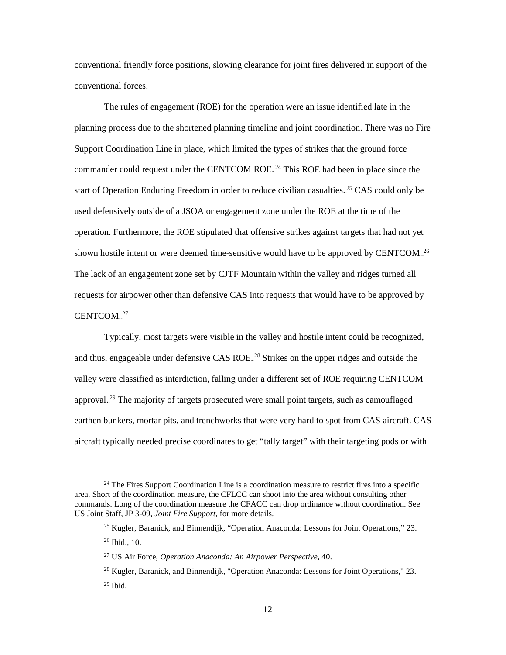conventional friendly force positions, slowing clearance for joint fires delivered in support of the conventional forces.

The rules of engagement (ROE) for the operation were an issue identified late in the planning process due to the shortened planning timeline and joint coordination. There was no Fire Support Coordination Line in place, which limited the types of strikes that the ground force commander could request under the CENTCOM ROE.<sup>24</sup> This ROE had been in place since the start of Operation Enduring Freedom in order to reduce civilian casualties.<sup>25</sup> CAS could only be used defensively outside of a JSOA or engagement zone under the ROE at the time of the operation. Furthermore, the ROE stipulated that offensive strikes against targets that had not yet shown hostile intent or were deemed time-sensitive would have to be approved by CENTCOM.<sup>26</sup> The lack of an engagement zone set by CJTF Mountain within the valley and ridges turned all requests for airpower other than defensive CAS into requests that would have to be approved by CENTCOM.<sup>27</sup>

Typically, most targets were visible in the valley and hostile intent could be recognized, and thus, engageable under defensive CAS ROE.<sup>28</sup> Strikes on the upper ridges and outside the valley were classified as interdiction, falling under a different set of ROE requiring CENTCOM approval.<sup>29</sup> The majority of targets prosecuted were small point targets, such as camouflaged earthen bunkers, mortar pits, and trenchworks that were very hard to spot from CAS aircraft. CAS aircraft typically needed precise coordinates to get "tally target" with their targeting pods or with

<sup>&</sup>lt;sup>24</sup> The Fires Support Coordination Line is a coordination measure to restrict fires into a specific area. Short of the coordination measure, the CFLCC can shoot into the area without consulting other commands. Long of the coordination measure the CFACC can drop ordinance without coordination. See US Joint Staff, JP 3-09, *Joint Fire Support,* for more details.

<sup>25</sup> Kugler, Baranick, and Binnendijk, "Operation Anaconda: Lessons for Joint Operations," 23.

<sup>26</sup> Ibid., 10.

<sup>27</sup> US Air Force, *Operation Anaconda: An Airpower Perspective,* 40.

<sup>28</sup> Kugler, Baranick, and Binnendijk, "Operation Anaconda: Lessons for Joint Operations," 23.  $29$  Ibid.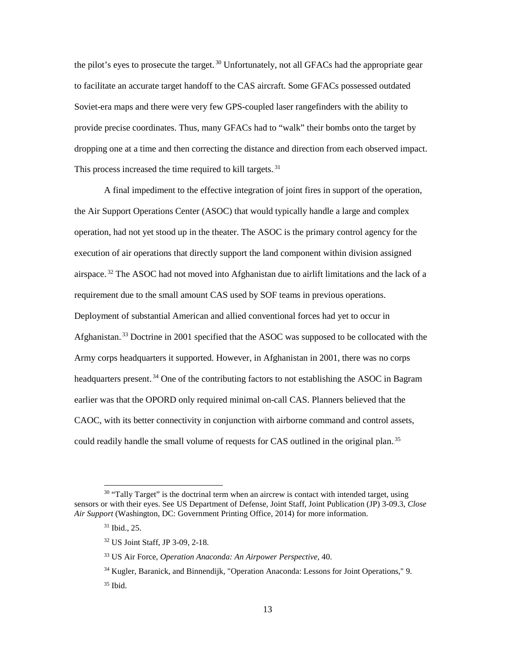the pilot's eyes to prosecute the target.<sup>30</sup> Unfortunately, not all GFACs had the appropriate gear to facilitate an accurate target handoff to the CAS aircraft. Some GFACs possessed outdated Soviet-era maps and there were very few GPS-coupled laser rangefinders with the ability to provide precise coordinates. Thus, many GFACs had to "walk" their bombs onto the target by dropping one at a time and then correcting the distance and direction from each observed impact. This process increased the time required to kill targets.<sup>31</sup>

A final impediment to the effective integration of joint fires in support of the operation, the Air Support Operations Center (ASOC) that would typically handle a large and complex operation, had not yet stood up in the theater. The ASOC is the primary control agency for the execution of air operations that directly support the land component within division assigned airspace.<sup>32</sup> The ASOC had not moved into Afghanistan due to airlift limitations and the lack of a requirement due to the small amount CAS used by SOF teams in previous operations. Deployment of substantial American and allied conventional forces had yet to occur in Afghanistan.<sup>33</sup> Doctrine in 2001 specified that the ASOC was supposed to be collocated with the Army corps headquarters it supported. However, in Afghanistan in 2001, there was no corps headquarters present.<sup>34</sup> One of the contributing factors to not establishing the ASOC in Bagram earlier was that the OPORD only required minimal on-call CAS. Planners believed that the CAOC, with its better connectivity in conjunction with airborne command and control assets, could readily handle the small volume of requests for CAS outlined in the original plan.<sup>35</sup>

 $30$  "Tally Target" is the doctrinal term when an aircrew is contact with intended target, using sensors or with their eyes. See US Department of Defense, Joint Staff, Joint Publication (JP) 3-09.3, *Close Air Support* (Washington, DC: Government Printing Office, 2014) for more information.

<sup>31</sup> Ibid., 25.

<sup>32</sup> US Joint Staff, JP 3-09*,* 2-18.

<sup>33</sup> US Air Force, *Operation Anaconda: An Airpower Perspective,* 40.

<sup>34</sup> Kugler, Baranick, and Binnendijk, "Operation Anaconda: Lessons for Joint Operations," 9.  $35$  Ibid.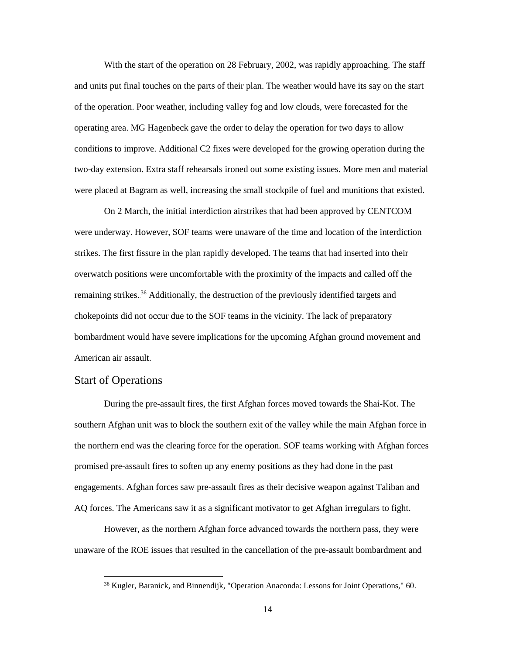With the start of the operation on 28 February, 2002, was rapidly approaching. The staff and units put final touches on the parts of their plan. The weather would have its say on the start of the operation. Poor weather, including valley fog and low clouds, were forecasted for the operating area. MG Hagenbeck gave the order to delay the operation for two days to allow conditions to improve. Additional C2 fixes were developed for the growing operation during the two-day extension. Extra staff rehearsals ironed out some existing issues. More men and material were placed at Bagram as well, increasing the small stockpile of fuel and munitions that existed.

On 2 March, the initial interdiction airstrikes that had been approved by CENTCOM were underway. However, SOF teams were unaware of the time and location of the interdiction strikes. The first fissure in the plan rapidly developed. The teams that had inserted into their overwatch positions were uncomfortable with the proximity of the impacts and called off the remaining strikes.<sup>36</sup> Additionally, the destruction of the previously identified targets and chokepoints did not occur due to the SOF teams in the vicinity. The lack of preparatory bombardment would have severe implications for the upcoming Afghan ground movement and American air assault.

#### <span id="page-22-0"></span>Start of Operations

 $\overline{a}$ 

During the pre-assault fires, the first Afghan forces moved towards the Shai-Kot. The southern Afghan unit was to block the southern exit of the valley while the main Afghan force in the northern end was the clearing force for the operation. SOF teams working with Afghan forces promised pre-assault fires to soften up any enemy positions as they had done in the past engagements. Afghan forces saw pre-assault fires as their decisive weapon against Taliban and AQ forces. The Americans saw it as a significant motivator to get Afghan irregulars to fight.

However, as the northern Afghan force advanced towards the northern pass, they were unaware of the ROE issues that resulted in the cancellation of the pre-assault bombardment and

<sup>36</sup> Kugler, Baranick, and Binnendijk, "Operation Anaconda: Lessons for Joint Operations," 60.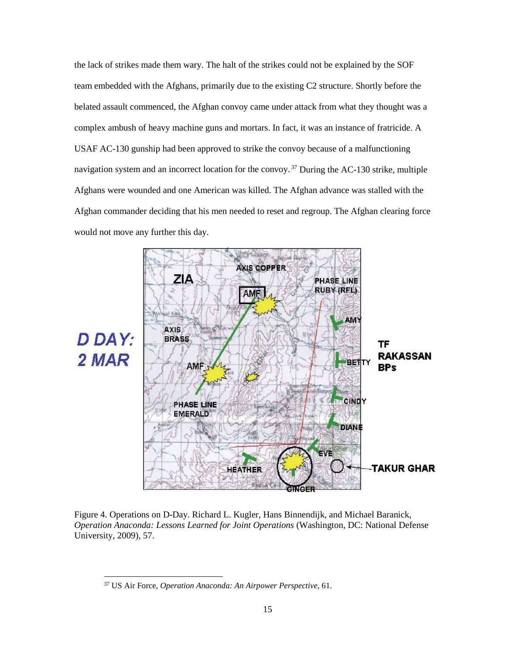the lack of strikes made them wary. The halt of the strikes could not be explained by the SOF team embedded with the Afghans, primarily due to the existing C2 structure. Shortly before the belated assault commenced, the Afghan convoy came under attack from what they thought was a complex ambush of heavy machine guns and mortars. In fact, it was an instance of fratricide. A USAF AC-130 gunship had been approved to strike the convoy because of a malfunctioning navigation system and an incorrect location for the convoy.<sup>37</sup> During the AC-130 strike, multiple Afghans were wounded and one American was killed. The Afghan advance was stalled with the Afghan commander deciding that his men needed to reset and regroup. The Afghan clearing force would not move any further this day.



Figure 4. Operations on D-Day. Richard L. Kugler, Hans Binnendijk, and Michael Baranick, *Operation Anaconda: Lessons Learned for Joint Operations* (Washington, DC: National Defense University, 2009), 57.

<sup>37</sup> US Air Force, *Operation Anaconda: An Airpower Perspective,* 61.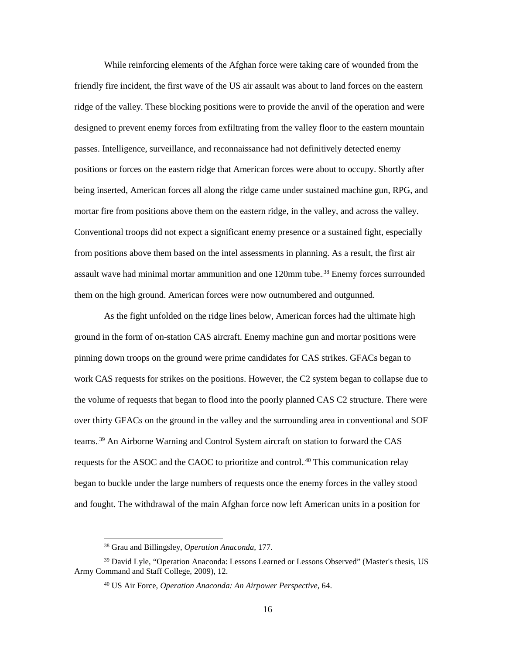While reinforcing elements of the Afghan force were taking care of wounded from the friendly fire incident, the first wave of the US air assault was about to land forces on the eastern ridge of the valley. These blocking positions were to provide the anvil of the operation and were designed to prevent enemy forces from exfiltrating from the valley floor to the eastern mountain passes. Intelligence, surveillance, and reconnaissance had not definitively detected enemy positions or forces on the eastern ridge that American forces were about to occupy. Shortly after being inserted, American forces all along the ridge came under sustained machine gun, RPG, and mortar fire from positions above them on the eastern ridge, in the valley, and across the valley. Conventional troops did not expect a significant enemy presence or a sustained fight, especially from positions above them based on the intel assessments in planning. As a result, the first air assault wave had minimal mortar ammunition and one 120mm tube.<sup>38</sup> Enemy forces surrounded them on the high ground. American forces were now outnumbered and outgunned.

As the fight unfolded on the ridge lines below, American forces had the ultimate high ground in the form of on-station CAS aircraft. Enemy machine gun and mortar positions were pinning down troops on the ground were prime candidates for CAS strikes. GFACs began to work CAS requests for strikes on the positions. However, the C2 system began to collapse due to the volume of requests that began to flood into the poorly planned CAS C2 structure. There were over thirty GFACs on the ground in the valley and the surrounding area in conventional and SOF teams.<sup>39</sup> An Airborne Warning and Control System aircraft on station to forward the CAS requests for the ASOC and the CAOC to prioritize and control.<sup>40</sup> This communication relay began to buckle under the large numbers of requests once the enemy forces in the valley stood and fought. The withdrawal of the main Afghan force now left American units in a position for

<sup>38</sup> Grau and Billingsley, *Operation Anaconda,* 177.

<sup>39</sup> David Lyle, "Operation Anaconda: Lessons Learned or Lessons Observed" (Master's thesis, US Army Command and Staff College, 2009), 12.

<sup>40</sup> US Air Force, *Operation Anaconda: An Airpower Perspective,* 64.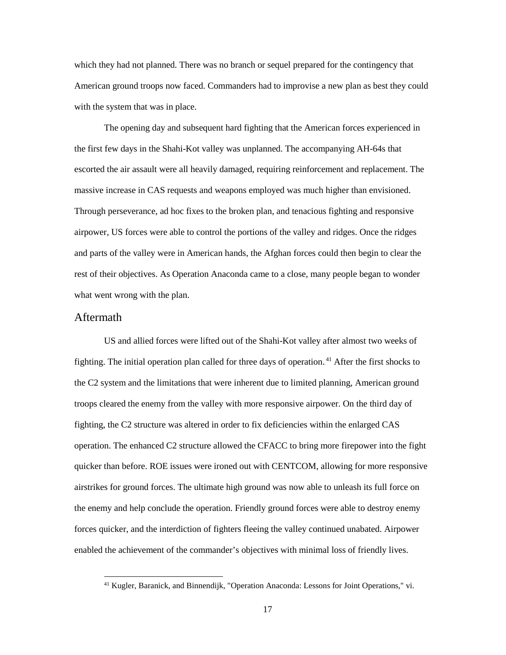which they had not planned. There was no branch or sequel prepared for the contingency that American ground troops now faced. Commanders had to improvise a new plan as best they could with the system that was in place.

The opening day and subsequent hard fighting that the American forces experienced in the first few days in the Shahi-Kot valley was unplanned. The accompanying AH-64s that escorted the air assault were all heavily damaged, requiring reinforcement and replacement. The massive increase in CAS requests and weapons employed was much higher than envisioned. Through perseverance, ad hoc fixes to the broken plan, and tenacious fighting and responsive airpower, US forces were able to control the portions of the valley and ridges. Once the ridges and parts of the valley were in American hands, the Afghan forces could then begin to clear the rest of their objectives. As Operation Anaconda came to a close, many people began to wonder what went wrong with the plan.

#### <span id="page-25-0"></span>Aftermath

 $\overline{a}$ 

US and allied forces were lifted out of the Shahi-Kot valley after almost two weeks of fighting. The initial operation plan called for three days of operation.<sup>41</sup> After the first shocks to the C2 system and the limitations that were inherent due to limited planning, American ground troops cleared the enemy from the valley with more responsive airpower. On the third day of fighting, the C2 structure was altered in order to fix deficiencies within the enlarged CAS operation. The enhanced C2 structure allowed the CFACC to bring more firepower into the fight quicker than before. ROE issues were ironed out with CENTCOM, allowing for more responsive airstrikes for ground forces. The ultimate high ground was now able to unleash its full force on the enemy and help conclude the operation. Friendly ground forces were able to destroy enemy forces quicker, and the interdiction of fighters fleeing the valley continued unabated. Airpower enabled the achievement of the commander's objectives with minimal loss of friendly lives.

<sup>41</sup> Kugler, Baranick, and Binnendijk, "Operation Anaconda: Lessons for Joint Operations," vi.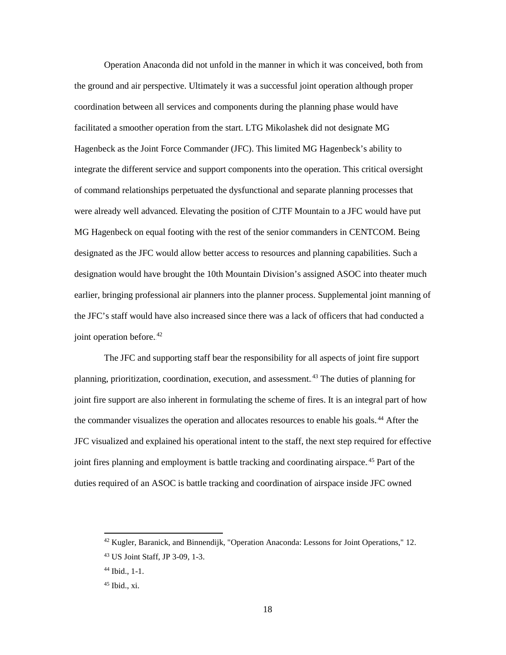Operation Anaconda did not unfold in the manner in which it was conceived, both from the ground and air perspective. Ultimately it was a successful joint operation although proper coordination between all services and components during the planning phase would have facilitated a smoother operation from the start. LTG Mikolashek did not designate MG Hagenbeck as the Joint Force Commander (JFC). This limited MG Hagenbeck's ability to integrate the different service and support components into the operation. This critical oversight of command relationships perpetuated the dysfunctional and separate planning processes that were already well advanced. Elevating the position of CJTF Mountain to a JFC would have put MG Hagenbeck on equal footing with the rest of the senior commanders in CENTCOM. Being designated as the JFC would allow better access to resources and planning capabilities. Such a designation would have brought the 10th Mountain Division's assigned ASOC into theater much earlier, bringing professional air planners into the planner process. Supplemental joint manning of the JFC's staff would have also increased since there was a lack of officers that had conducted a joint operation before.<sup>42</sup>

The JFC and supporting staff bear the responsibility for all aspects of joint fire support planning, prioritization, coordination, execution, and assessment.<sup>43</sup> The duties of planning for joint fire support are also inherent in formulating the scheme of fires. It is an integral part of how the commander visualizes the operation and allocates resources to enable his goals.<sup>44</sup> After the JFC visualized and explained his operational intent to the staff, the next step required for effective joint fires planning and employment is battle tracking and coordinating airspace.<sup>45</sup> Part of the duties required of an ASOC is battle tracking and coordination of airspace inside JFC owned

<sup>&</sup>lt;sup>42</sup> Kugler, Baranick, and Binnendijk, "Operation Anaconda: Lessons for Joint Operations," 12.

<sup>43</sup> US Joint Staff, JP 3-09*,* 1-3.

<sup>44</sup> Ibid., 1-1.

 $45$  Ibid., xi.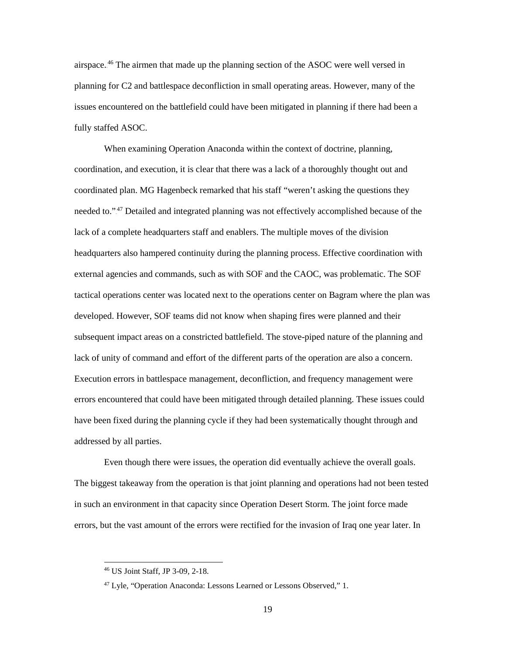airspace.<sup>46</sup> The airmen that made up the planning section of the ASOC were well versed in planning for C2 and battlespace deconfliction in small operating areas. However, many of the issues encountered on the battlefield could have been mitigated in planning if there had been a fully staffed ASOC.

When examining Operation Anaconda within the context of doctrine, planning, coordination, and execution, it is clear that there was a lack of a thoroughly thought out and coordinated plan. MG Hagenbeck remarked that his staff "weren't asking the questions they needed to.".<sup>47</sup> Detailed and integrated planning was not effectively accomplished because of the lack of a complete headquarters staff and enablers. The multiple moves of the division headquarters also hampered continuity during the planning process. Effective coordination with external agencies and commands, such as with SOF and the CAOC, was problematic. The SOF tactical operations center was located next to the operations center on Bagram where the plan was developed. However, SOF teams did not know when shaping fires were planned and their subsequent impact areas on a constricted battlefield. The stove-piped nature of the planning and lack of unity of command and effort of the different parts of the operation are also a concern. Execution errors in battlespace management, deconfliction, and frequency management were errors encountered that could have been mitigated through detailed planning. These issues could have been fixed during the planning cycle if they had been systematically thought through and addressed by all parties.

Even though there were issues, the operation did eventually achieve the overall goals. The biggest takeaway from the operation is that joint planning and operations had not been tested in such an environment in that capacity since Operation Desert Storm. The joint force made errors, but the vast amount of the errors were rectified for the invasion of Iraq one year later. In

<sup>46</sup> US Joint Staff, JP 3-09*,* 2-18.

<sup>47</sup> Lyle, "Operation Anaconda: Lessons Learned or Lessons Observed," 1.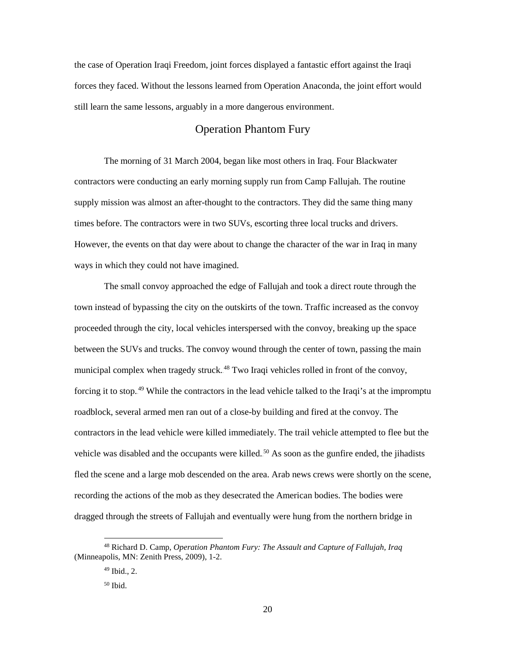the case of Operation Iraqi Freedom, joint forces displayed a fantastic effort against the Iraqi forces they faced. Without the lessons learned from Operation Anaconda, the joint effort would still learn the same lessons, arguably in a more dangerous environment.

### Operation Phantom Fury

<span id="page-28-0"></span>The morning of 31 March 2004, began like most others in Iraq. Four Blackwater contractors were conducting an early morning supply run from Camp Fallujah. The routine supply mission was almost an after-thought to the contractors. They did the same thing many times before. The contractors were in two SUVs, escorting three local trucks and drivers. However, the events on that day were about to change the character of the war in Iraq in many ways in which they could not have imagined.

The small convoy approached the edge of Fallujah and took a direct route through the town instead of bypassing the city on the outskirts of the town. Traffic increased as the convoy proceeded through the city, local vehicles interspersed with the convoy, breaking up the space between the SUVs and trucks. The convoy wound through the center of town, passing the main municipal complex when tragedy struck.<sup>48</sup> Two Iraqi vehicles rolled in front of the convoy, forcing it to stop.<sup>49</sup> While the contractors in the lead vehicle talked to the Iraqi's at the impromptu roadblock, several armed men ran out of a close-by building and fired at the convoy. The contractors in the lead vehicle were killed immediately. The trail vehicle attempted to flee but the vehicle was disabled and the occupants were killed.<sup>50</sup> As soon as the gunfire ended, the jihadists fled the scene and a large mob descended on the area. Arab news crews were shortly on the scene, recording the actions of the mob as they desecrated the American bodies. The bodies were dragged through the streets of Fallujah and eventually were hung from the northern bridge in

<sup>48</sup> Richard D. Camp, *Operation Phantom Fury: The Assault and Capture of Fallujah, Iraq* (Minneapolis, MN: Zenith Press, 2009), 1-2.

 $49$  Ibid., 2.

 $50$  Ibid.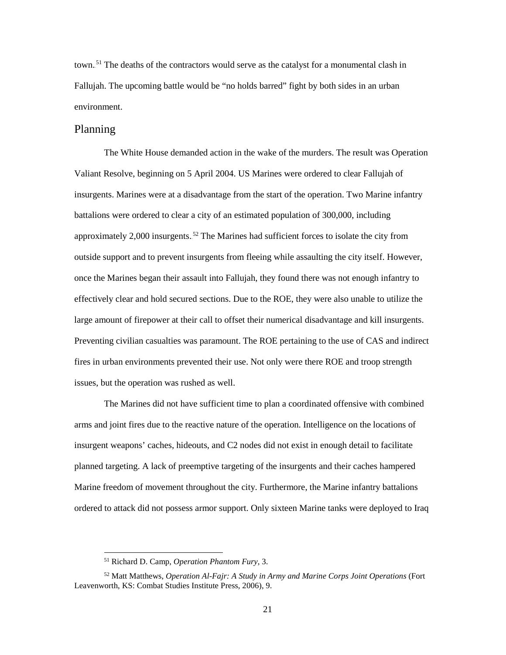town.<sup>51</sup> The deaths of the contractors would serve as the catalyst for a monumental clash in Fallujah. The upcoming battle would be "no holds barred" fight by both sides in an urban environment.

#### <span id="page-29-0"></span>Planning

The White House demanded action in the wake of the murders. The result was Operation Valiant Resolve, beginning on 5 April 2004. US Marines were ordered to clear Fallujah of insurgents. Marines were at a disadvantage from the start of the operation. Two Marine infantry battalions were ordered to clear a city of an estimated population of 300,000, including approximately 2,000 insurgents.<sup>52</sup> The Marines had sufficient forces to isolate the city from outside support and to prevent insurgents from fleeing while assaulting the city itself. However, once the Marines began their assault into Fallujah, they found there was not enough infantry to effectively clear and hold secured sections. Due to the ROE, they were also unable to utilize the large amount of firepower at their call to offset their numerical disadvantage and kill insurgents. Preventing civilian casualties was paramount. The ROE pertaining to the use of CAS and indirect fires in urban environments prevented their use. Not only were there ROE and troop strength issues, but the operation was rushed as well.

The Marines did not have sufficient time to plan a coordinated offensive with combined arms and joint fires due to the reactive nature of the operation. Intelligence on the locations of insurgent weapons' caches, hideouts, and C2 nodes did not exist in enough detail to facilitate planned targeting. A lack of preemptive targeting of the insurgents and their caches hampered Marine freedom of movement throughout the city. Furthermore, the Marine infantry battalions ordered to attack did not possess armor support. Only sixteen Marine tanks were deployed to Iraq

<sup>51</sup> Richard D. Camp, *Operation Phantom Fury*, 3.

<sup>52</sup> Matt Matthews, *Operation Al-Fajr: A Study in Army and Marine Corps Joint Operations* (Fort Leavenworth, KS: Combat Studies Institute Press, 2006), 9.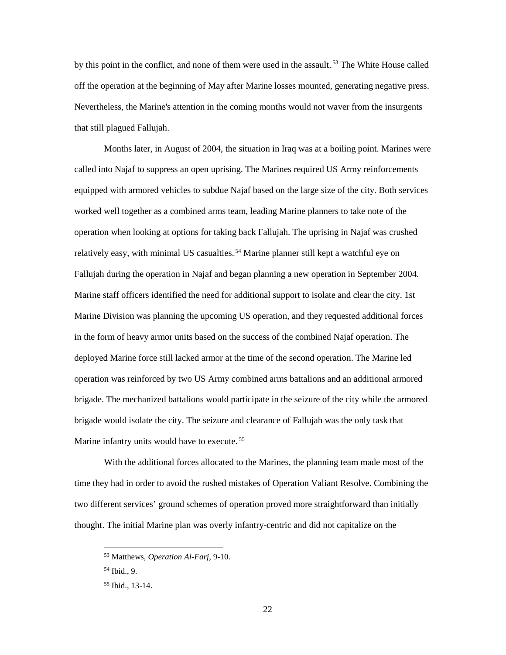by this point in the conflict, and none of them were used in the assault.<sup>53</sup> The White House called off the operation at the beginning of May after Marine losses mounted, generating negative press. Nevertheless, the Marine's attention in the coming months would not waver from the insurgents that still plagued Fallujah.

Months later, in August of 2004, the situation in Iraq was at a boiling point. Marines were called into Najaf to suppress an open uprising. The Marines required US Army reinforcements equipped with armored vehicles to subdue Najaf based on the large size of the city. Both services worked well together as a combined arms team, leading Marine planners to take note of the operation when looking at options for taking back Fallujah. The uprising in Najaf was crushed relatively easy, with minimal US casualties.<sup>54</sup> Marine planner still kept a watchful eye on Fallujah during the operation in Najaf and began planning a new operation in September 2004. Marine staff officers identified the need for additional support to isolate and clear the city. 1st Marine Division was planning the upcoming US operation, and they requested additional forces in the form of heavy armor units based on the success of the combined Najaf operation. The deployed Marine force still lacked armor at the time of the second operation. The Marine led operation was reinforced by two US Army combined arms battalions and an additional armored brigade. The mechanized battalions would participate in the seizure of the city while the armored brigade would isolate the city. The seizure and clearance of Fallujah was the only task that Marine infantry units would have to execute.<sup>55</sup>

With the additional forces allocated to the Marines, the planning team made most of the time they had in order to avoid the rushed mistakes of Operation Valiant Resolve. Combining the two different services' ground schemes of operation proved more straightforward than initially thought. The initial Marine plan was overly infantry-centric and did not capitalize on the

<sup>53</sup> Matthews, *Operation Al-Farj,* 9-10.

 $54$  Ibid., 9.

<sup>55</sup> Ibid., 13-14.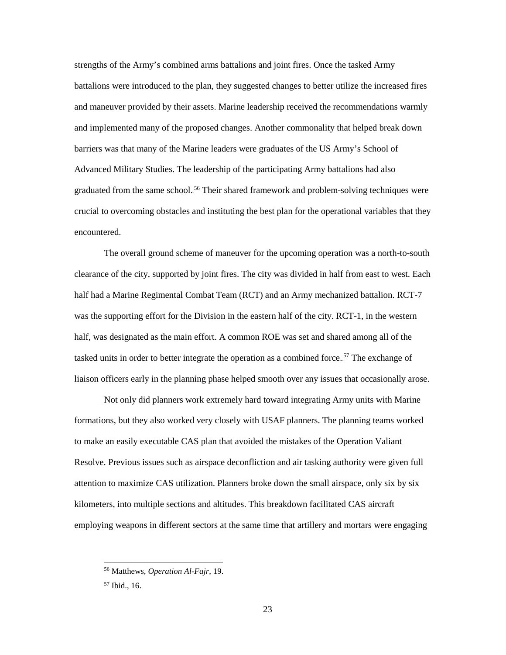strengths of the Army's combined arms battalions and joint fires. Once the tasked Army battalions were introduced to the plan, they suggested changes to better utilize the increased fires and maneuver provided by their assets. Marine leadership received the recommendations warmly and implemented many of the proposed changes. Another commonality that helped break down barriers was that many of the Marine leaders were graduates of the US Army's School of Advanced Military Studies. The leadership of the participating Army battalions had also graduated from the same school.<sup>56</sup> Their shared framework and problem-solving techniques were crucial to overcoming obstacles and instituting the best plan for the operational variables that they encountered.

The overall ground scheme of maneuver for the upcoming operation was a north-to-south clearance of the city, supported by joint fires. The city was divided in half from east to west. Each half had a Marine Regimental Combat Team (RCT) and an Army mechanized battalion. RCT-7 was the supporting effort for the Division in the eastern half of the city. RCT-1, in the western half, was designated as the main effort. A common ROE was set and shared among all of the tasked units in order to better integrate the operation as a combined force.<sup>57</sup> The exchange of liaison officers early in the planning phase helped smooth over any issues that occasionally arose.

Not only did planners work extremely hard toward integrating Army units with Marine formations, but they also worked very closely with USAF planners. The planning teams worked to make an easily executable CAS plan that avoided the mistakes of the Operation Valiant Resolve. Previous issues such as airspace deconfliction and air tasking authority were given full attention to maximize CAS utilization. Planners broke down the small airspace, only six by six kilometers, into multiple sections and altitudes. This breakdown facilitated CAS aircraft employing weapons in different sectors at the same time that artillery and mortars were engaging

<sup>56</sup> Matthews, *Operation Al-Fajr*, 19.

<sup>57</sup> Ibid., 16.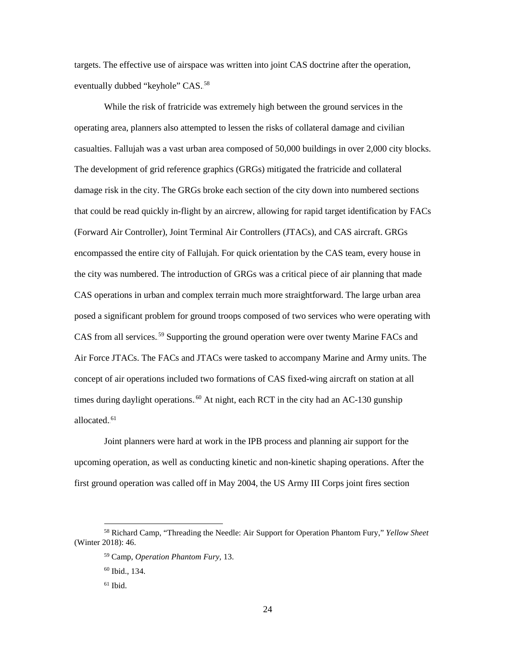targets. The effective use of airspace was written into joint CAS doctrine after the operation, eventually dubbed "keyhole" CAS.<sup>58</sup>

While the risk of fratricide was extremely high between the ground services in the operating area, planners also attempted to lessen the risks of collateral damage and civilian casualties. Fallujah was a vast urban area composed of 50,000 buildings in over 2,000 city blocks. The development of grid reference graphics (GRGs) mitigated the fratricide and collateral damage risk in the city. The GRGs broke each section of the city down into numbered sections that could be read quickly in-flight by an aircrew, allowing for rapid target identification by FACs (Forward Air Controller), Joint Terminal Air Controllers (JTACs), and CAS aircraft. GRGs encompassed the entire city of Fallujah. For quick orientation by the CAS team, every house in the city was numbered. The introduction of GRGs was a critical piece of air planning that made CAS operations in urban and complex terrain much more straightforward. The large urban area posed a significant problem for ground troops composed of two services who were operating with CAS from all services.<sup>59</sup> Supporting the ground operation were over twenty Marine FACs and Air Force JTACs. The FACs and JTACs were tasked to accompany Marine and Army units. The concept of air operations included two formations of CAS fixed-wing aircraft on station at all times during daylight operations.<sup>60</sup> At night, each RCT in the city had an AC-130 gunship allocated.<sup>61</sup>

Joint planners were hard at work in the IPB process and planning air support for the upcoming operation, as well as conducting kinetic and non-kinetic shaping operations. After the first ground operation was called off in May 2004, the US Army III Corps joint fires section

<sup>58</sup> Richard Camp, "Threading the Needle: Air Support for Operation Phantom Fury," *Yellow Sheet* (Winter 2018): 46.

<sup>59</sup> Camp, *Operation Phantom Fury,* 13.

 $60$  Ibid., 134.

 $61$  Ibid.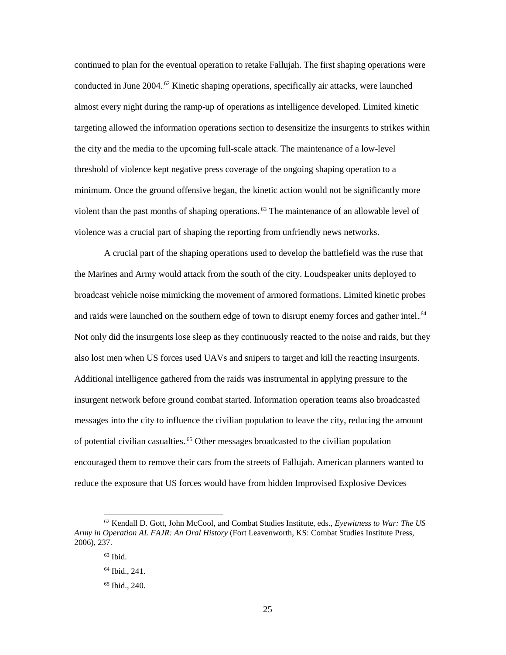continued to plan for the eventual operation to retake Fallujah. The first shaping operations were conducted in June 2004.<sup>62</sup> Kinetic shaping operations, specifically air attacks, were launched almost every night during the ramp-up of operations as intelligence developed. Limited kinetic targeting allowed the information operations section to desensitize the insurgents to strikes within the city and the media to the upcoming full-scale attack. The maintenance of a low-level threshold of violence kept negative press coverage of the ongoing shaping operation to a minimum. Once the ground offensive began, the kinetic action would not be significantly more violent than the past months of shaping operations.<sup>63</sup> The maintenance of an allowable level of violence was a crucial part of shaping the reporting from unfriendly news networks.

A crucial part of the shaping operations used to develop the battlefield was the ruse that the Marines and Army would attack from the south of the city. Loudspeaker units deployed to broadcast vehicle noise mimicking the movement of armored formations. Limited kinetic probes and raids were launched on the southern edge of town to disrupt enemy forces and gather intel.<sup>64</sup> Not only did the insurgents lose sleep as they continuously reacted to the noise and raids, but they also lost men when US forces used UAVs and snipers to target and kill the reacting insurgents. Additional intelligence gathered from the raids was instrumental in applying pressure to the insurgent network before ground combat started. Information operation teams also broadcasted messages into the city to influence the civilian population to leave the city, reducing the amount of potential civilian casualties.<sup>65</sup> Other messages broadcasted to the civilian population encouraged them to remove their cars from the streets of Fallujah. American planners wanted to reduce the exposure that US forces would have from hidden Improvised Explosive Devices

<sup>62</sup> Kendall D. Gott, John McCool, and Combat Studies Institute, eds., *Eyewitness to War: The US Army in Operation AL FAJR: An Oral History* (Fort Leavenworth, KS: Combat Studies Institute Press, 2006), 237.

 $63$  Ibid.

 $64$  Ibid., 241.

<sup>65</sup> Ibid., 240.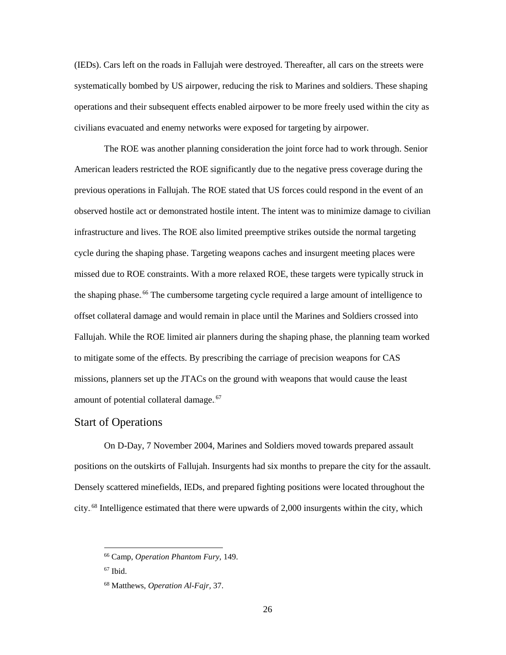(IEDs). Cars left on the roads in Fallujah were destroyed. Thereafter, all cars on the streets were systematically bombed by US airpower, reducing the risk to Marines and soldiers. These shaping operations and their subsequent effects enabled airpower to be more freely used within the city as civilians evacuated and enemy networks were exposed for targeting by airpower.

The ROE was another planning consideration the joint force had to work through. Senior American leaders restricted the ROE significantly due to the negative press coverage during the previous operations in Fallujah. The ROE stated that US forces could respond in the event of an observed hostile act or demonstrated hostile intent. The intent was to minimize damage to civilian infrastructure and lives. The ROE also limited preemptive strikes outside the normal targeting cycle during the shaping phase. Targeting weapons caches and insurgent meeting places were missed due to ROE constraints. With a more relaxed ROE, these targets were typically struck in the shaping phase.<sup>66</sup> The cumbersome targeting cycle required a large amount of intelligence to offset collateral damage and would remain in place until the Marines and Soldiers crossed into Fallujah. While the ROE limited air planners during the shaping phase, the planning team worked to mitigate some of the effects. By prescribing the carriage of precision weapons for CAS missions, planners set up the JTACs on the ground with weapons that would cause the least amount of potential collateral damage.<sup>67</sup>

#### <span id="page-34-0"></span>Start of Operations

On D-Day, 7 November 2004, Marines and Soldiers moved towards prepared assault positions on the outskirts of Fallujah. Insurgents had six months to prepare the city for the assault. Densely scattered minefields, IEDs, and prepared fighting positions were located throughout the city.<sup>68</sup> Intelligence estimated that there were upwards of 2,000 insurgents within the city, which

<sup>66</sup> Camp, *Operation Phantom Fury*, 149.

 $67$  Ibid.

<sup>68</sup> Matthews, *Operation Al-Fajr,* 37.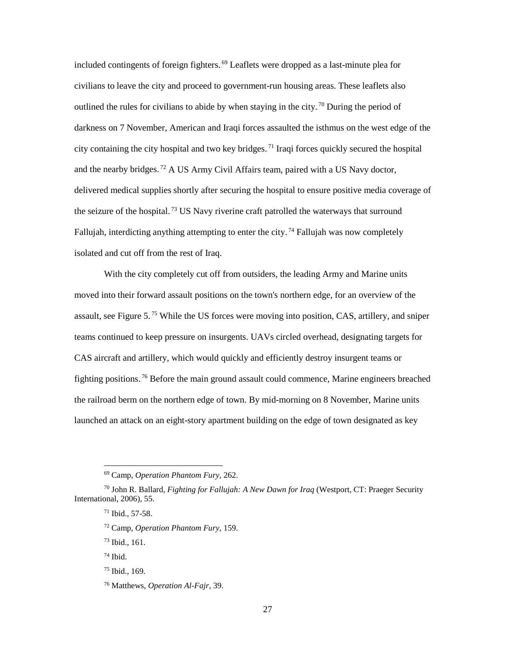included contingents of foreign fighters.<sup>69</sup> Leaflets were dropped as a last-minute plea for civilians to leave the city and proceed to government-run housing areas. These leaflets also outlined the rules for civilians to abide by when staying in the city.<sup>70</sup> During the period of darkness on 7 November, American and Iraqi forces assaulted the isthmus on the west edge of the city containing the city hospital and two key bridges.<sup>71</sup> Iraqi forces quickly secured the hospital and the nearby bridges.<sup>72</sup> A US Army Civil Affairs team, paired with a US Navy doctor, delivered medical supplies shortly after securing the hospital to ensure positive media coverage of the seizure of the hospital.<sup>73</sup> US Navy riverine craft patrolled the waterways that surround Fallujah, interdicting anything attempting to enter the city.<sup>74</sup> Fallujah was now completely isolated and cut off from the rest of Iraq.

With the city completely cut off from outsiders, the leading Army and Marine units moved into their forward assault positions on the town's northern edge, for an overview of the assault, see Figure 5.<sup>75</sup> While the US forces were moving into position, CAS, artillery, and sniper teams continued to keep pressure on insurgents. UAVs circled overhead, designating targets for CAS aircraft and artillery, which would quickly and efficiently destroy insurgent teams or fighting positions.<sup>76</sup> Before the main ground assault could commence, Marine engineers breached the railroad berm on the northern edge of town. By mid-morning on 8 November, Marine units launched an attack on an eight-story apartment building on the edge of town designated as key

<sup>69</sup> Camp, *Operation Phantom Fury,* 262.

<sup>70</sup> John R. Ballard, *Fighting for Fallujah: A New Dawn for Iraq* (Westport, CT: Praeger Security International, 2006), 55.

<sup>71</sup> Ibid., 57-58.

<sup>72</sup> Camp, *Operation Phantom Fury,* 159.

<sup>73</sup> Ibid., 161.

 $74$  Ibid.

<sup>75</sup> Ibid., 169.

<sup>76</sup> Matthews, *Operation Al-Fajr,* 39.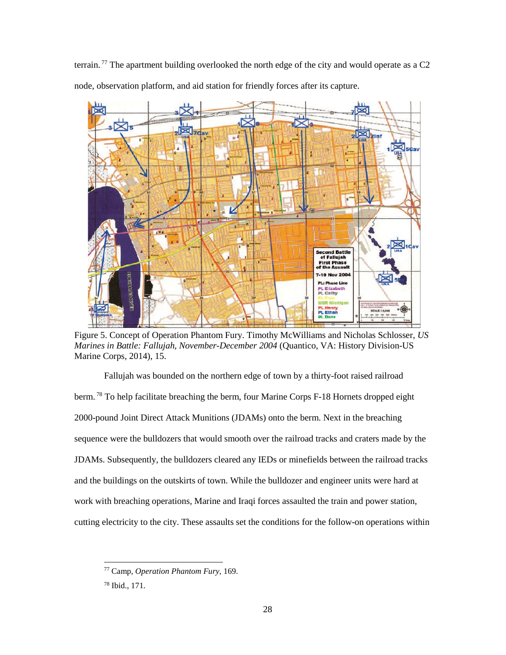terrain.<sup>77</sup> The apartment building overlooked the north edge of the city and would operate as a C2 node, observation platform, and aid station for friendly forces after its capture.



Figure 5. Concept of Operation Phantom Fury. Timothy McWilliams and Nicholas Schlosser, *US Marines in Battle: Fallujah, November-December 2004* (Quantico, VA: History Division-US Marine Corps, 2014), 15.

Fallujah was bounded on the northern edge of town by a thirty-foot raised railroad berm.<sup>78</sup> To help facilitate breaching the berm, four Marine Corps F-18 Hornets dropped eight 2000-pound Joint Direct Attack Munitions (JDAMs) onto the berm. Next in the breaching sequence were the bulldozers that would smooth over the railroad tracks and craters made by the JDAMs. Subsequently, the bulldozers cleared any IEDs or minefields between the railroad tracks and the buildings on the outskirts of town. While the bulldozer and engineer units were hard at work with breaching operations, Marine and Iraqi forces assaulted the train and power station, cutting electricity to the city. These assaults set the conditions for the follow-on operations within

<sup>77</sup> Camp, *Operation Phantom Fury,* 169.

<sup>78</sup> Ibid., 171.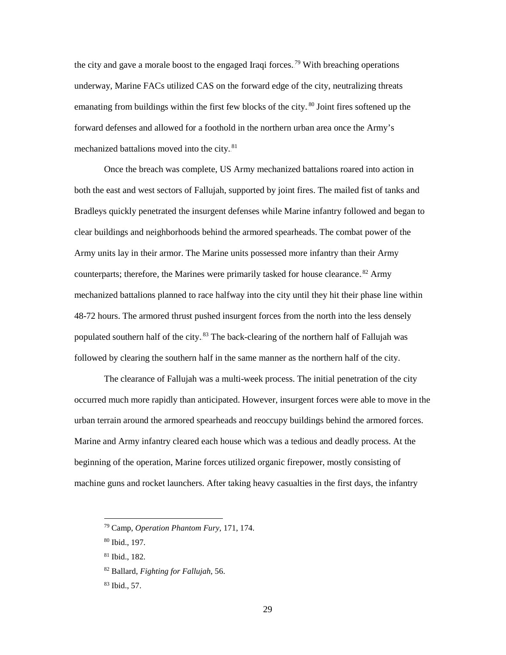the city and gave a morale boost to the engaged Iraqi forces.<sup>79</sup> With breaching operations underway, Marine FACs utilized CAS on the forward edge of the city, neutralizing threats emanating from buildings within the first few blocks of the city.<sup>80</sup> Joint fires softened up the forward defenses and allowed for a foothold in the northern urban area once the Army's mechanized battalions moved into the city.<sup>81</sup>

Once the breach was complete, US Army mechanized battalions roared into action in both the east and west sectors of Fallujah, supported by joint fires. The mailed fist of tanks and Bradleys quickly penetrated the insurgent defenses while Marine infantry followed and began to clear buildings and neighborhoods behind the armored spearheads. The combat power of the Army units lay in their armor. The Marine units possessed more infantry than their Army counterparts; therefore, the Marines were primarily tasked for house clearance.<sup>82</sup> Army mechanized battalions planned to race halfway into the city until they hit their phase line within 48-72 hours. The armored thrust pushed insurgent forces from the north into the less densely populated southern half of the city.<sup>83</sup> The back-clearing of the northern half of Fallujah was followed by clearing the southern half in the same manner as the northern half of the city.

The clearance of Fallujah was a multi-week process. The initial penetration of the city occurred much more rapidly than anticipated. However, insurgent forces were able to move in the urban terrain around the armored spearheads and reoccupy buildings behind the armored forces. Marine and Army infantry cleared each house which was a tedious and deadly process. At the beginning of the operation, Marine forces utilized organic firepower, mostly consisting of machine guns and rocket launchers. After taking heavy casualties in the first days, the infantry

<sup>79</sup> Camp, *Operation Phantom Fury,* 171, 174.

<sup>80</sup> Ibid., 197.

<sup>81</sup> Ibid., 182.

<sup>82</sup> Ballard, *Fighting for Fallujah,* 56.

<sup>83</sup> Ibid., 57.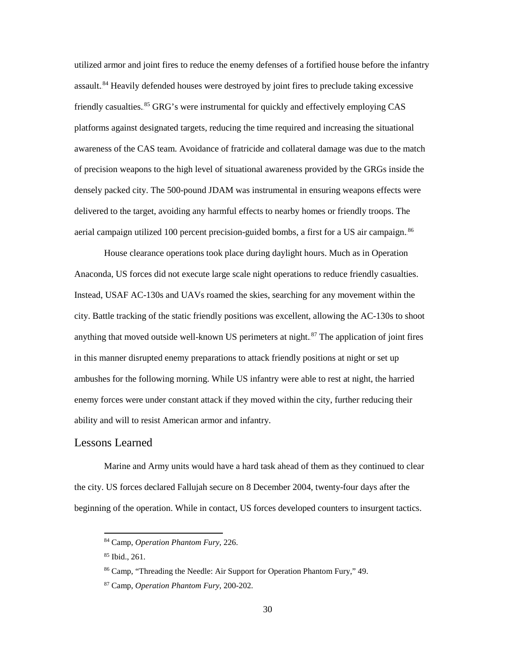utilized armor and joint fires to reduce the enemy defenses of a fortified house before the infantry assault.<sup>84</sup> Heavily defended houses were destroyed by joint fires to preclude taking excessive friendly casualties.<sup>85</sup> GRG's were instrumental for quickly and effectively employing CAS platforms against designated targets, reducing the time required and increasing the situational awareness of the CAS team. Avoidance of fratricide and collateral damage was due to the match of precision weapons to the high level of situational awareness provided by the GRGs inside the densely packed city. The 500-pound JDAM was instrumental in ensuring weapons effects were delivered to the target, avoiding any harmful effects to nearby homes or friendly troops. The aerial campaign utilized 100 percent precision-guided bombs, a first for a US air campaign.<sup>86</sup>

House clearance operations took place during daylight hours. Much as in Operation Anaconda, US forces did not execute large scale night operations to reduce friendly casualties. Instead, USAF AC-130s and UAVs roamed the skies, searching for any movement within the city. Battle tracking of the static friendly positions was excellent, allowing the AC-130s to shoot anything that moved outside well-known US perimeters at night.<sup>87</sup> The application of joint fires in this manner disrupted enemy preparations to attack friendly positions at night or set up ambushes for the following morning. While US infantry were able to rest at night, the harried enemy forces were under constant attack if they moved within the city, further reducing their ability and will to resist American armor and infantry.

#### <span id="page-38-0"></span>Lessons Learned

Marine and Army units would have a hard task ahead of them as they continued to clear the city. US forces declared Fallujah secure on 8 December 2004, twenty-four days after the beginning of the operation. While in contact, US forces developed counters to insurgent tactics.

<sup>85</sup> Ibid., 261.

<sup>84</sup> Camp, *Operation Phantom Fury,* 226.

<sup>86</sup> Camp, "Threading the Needle: Air Support for Operation Phantom Fury," 49.

<sup>87</sup> Camp, *Operation Phantom Fury*, 200-202.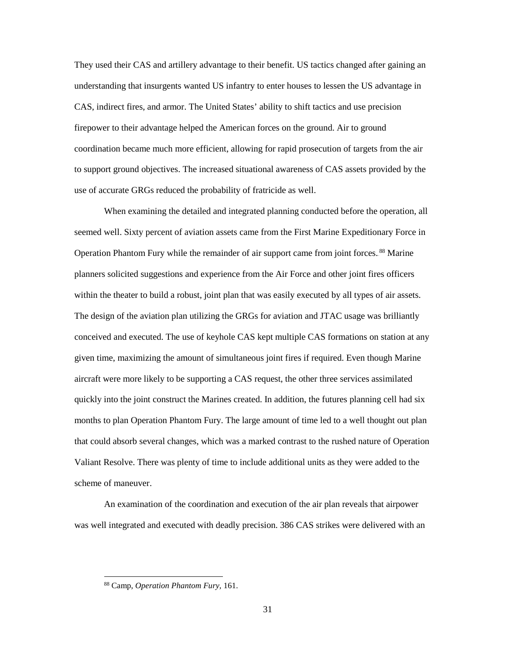They used their CAS and artillery advantage to their benefit. US tactics changed after gaining an understanding that insurgents wanted US infantry to enter houses to lessen the US advantage in CAS, indirect fires, and armor. The United States' ability to shift tactics and use precision firepower to their advantage helped the American forces on the ground. Air to ground coordination became much more efficient, allowing for rapid prosecution of targets from the air to support ground objectives. The increased situational awareness of CAS assets provided by the use of accurate GRGs reduced the probability of fratricide as well.

When examining the detailed and integrated planning conducted before the operation, all seemed well. Sixty percent of aviation assets came from the First Marine Expeditionary Force in Operation Phantom Fury while the remainder of air support came from joint forces.<sup>88</sup> Marine planners solicited suggestions and experience from the Air Force and other joint fires officers within the theater to build a robust, joint plan that was easily executed by all types of air assets. The design of the aviation plan utilizing the GRGs for aviation and JTAC usage was brilliantly conceived and executed. The use of keyhole CAS kept multiple CAS formations on station at any given time, maximizing the amount of simultaneous joint fires if required. Even though Marine aircraft were more likely to be supporting a CAS request, the other three services assimilated quickly into the joint construct the Marines created. In addition, the futures planning cell had six months to plan Operation Phantom Fury. The large amount of time led to a well thought out plan that could absorb several changes, which was a marked contrast to the rushed nature of Operation Valiant Resolve. There was plenty of time to include additional units as they were added to the scheme of maneuver.

An examination of the coordination and execution of the air plan reveals that airpower was well integrated and executed with deadly precision. 386 CAS strikes were delivered with an

<sup>88</sup> Camp, *Operation Phantom Fury,* 161.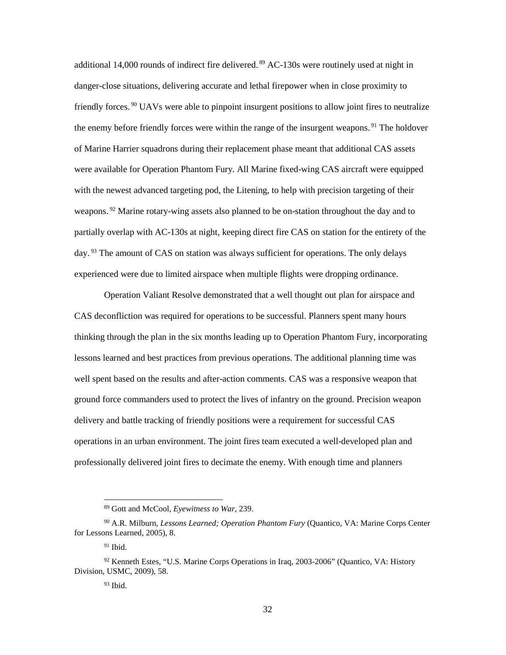additional 14,000 rounds of indirect fire delivered.<sup>89</sup> AC-130s were routinely used at night in danger-close situations, delivering accurate and lethal firepower when in close proximity to friendly forces.<sup>90</sup> UAVs were able to pinpoint insurgent positions to allow joint fires to neutralize the enemy before friendly forces were within the range of the insurgent weapons.<sup>91</sup> The holdover of Marine Harrier squadrons during their replacement phase meant that additional CAS assets were available for Operation Phantom Fury. All Marine fixed-wing CAS aircraft were equipped with the newest advanced targeting pod, the Litening, to help with precision targeting of their weapons.<sup>92</sup> Marine rotary-wing assets also planned to be on-station throughout the day and to partially overlap with AC-130s at night, keeping direct fire CAS on station for the entirety of the day.<sup>93</sup> The amount of CAS on station was always sufficient for operations. The only delays experienced were due to limited airspace when multiple flights were dropping ordinance.

Operation Valiant Resolve demonstrated that a well thought out plan for airspace and CAS deconfliction was required for operations to be successful. Planners spent many hours thinking through the plan in the six months leading up to Operation Phantom Fury, incorporating lessons learned and best practices from previous operations. The additional planning time was well spent based on the results and after-action comments. CAS was a responsive weapon that ground force commanders used to protect the lives of infantry on the ground. Precision weapon delivery and battle tracking of friendly positions were a requirement for successful CAS operations in an urban environment. The joint fires team executed a well-developed plan and professionally delivered joint fires to decimate the enemy. With enough time and planners

<sup>89</sup> Gott and McCool, *Eyewitness to War,* 239.

<sup>90</sup> A.R. Milburn, *Lessons Learned; Operation Phantom Fury* (Quantico, VA: Marine Corps Center for Lessons Learned, 2005), 8.

 $91$  Ibid.

<sup>92</sup> Kenneth Estes, "U.S. Marine Corps Operations in Iraq, 2003-2006" (Quantico, VA: History Division, USMC, 2009), 58.

 $93$  Ibid.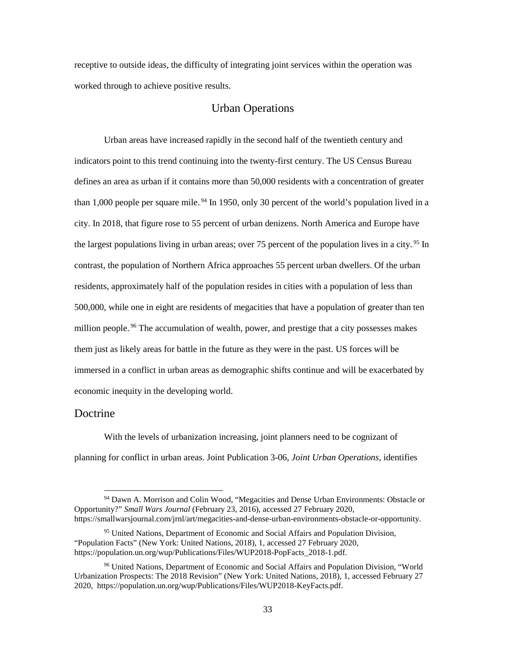receptive to outside ideas, the difficulty of integrating joint services within the operation was worked through to achieve positive results.

#### Urban Operations

<span id="page-41-0"></span>Urban areas have increased rapidly in the second half of the twentieth century and indicators point to this trend continuing into the twenty-first century. The US Census Bureau defines an area as urban if it contains more than 50,000 residents with a concentration of greater than 1,000 people per square mile.<sup>94</sup> In 1950, only 30 percent of the world's population lived in a city. In 2018, that figure rose to 55 percent of urban denizens. North America and Europe have the largest populations living in urban areas; over 75 percent of the population lives in a city.<sup>95</sup> In contrast, the population of Northern Africa approaches 55 percent urban dwellers. Of the urban residents, approximately half of the population resides in cities with a population of less than 500,000, while one in eight are residents of megacities that have a population of greater than ten million people.<sup>96</sup> The accumulation of wealth, power, and prestige that a city possesses makes them just as likely areas for battle in the future as they were in the past. US forces will be immersed in a conflict in urban areas as demographic shifts continue and will be exacerbated by economic inequity in the developing world.

#### <span id="page-41-1"></span>Doctrine

 $\overline{a}$ 

With the levels of urbanization increasing, joint planners need to be cognizant of planning for conflict in urban areas. Joint Publication 3-06, *Joint Urban Operations,* identifies

<sup>94</sup> Dawn A. Morrison and Colin Wood, "Megacities and Dense Urban Environments: Obstacle or Opportunity?" *Small Wars Journal* (February 23, 2016), accessed 27 February 2020, https://smallwarsjournal.com/jrnl/art/megacities-and-dense-urban-environments-obstacle-or-opportunity.

<sup>95</sup> United Nations, Department of Economic and Social Affairs and Population Division, "Population Facts" (New York: United Nations, 2018), 1, accessed 27 February 2020, https://population.un.org/wup/Publications/Files/WUP2018-PopFacts\_2018-1.pdf.

<sup>96</sup> United Nations, Department of Economic and Social Affairs and Population Division, "World Urbanization Prospects: The 2018 Revision" (New York: United Nations, 2018), 1, accessed February 27 2020, https://population.un.org/wup/Publications/Files/WUP2018-KeyFacts.pdf.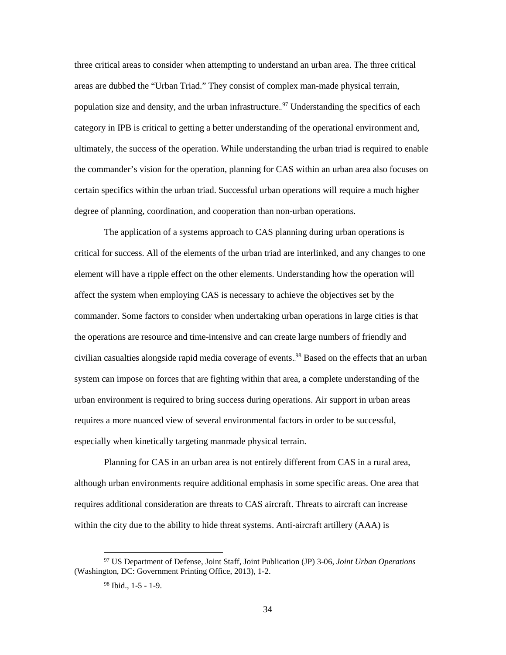three critical areas to consider when attempting to understand an urban area. The three critical areas are dubbed the "Urban Triad." They consist of complex man-made physical terrain, population size and density, and the urban infrastructure.<sup>97</sup> Understanding the specifics of each category in IPB is critical to getting a better understanding of the operational environment and, ultimately, the success of the operation. While understanding the urban triad is required to enable the commander's vision for the operation, planning for CAS within an urban area also focuses on certain specifics within the urban triad. Successful urban operations will require a much higher degree of planning, coordination, and cooperation than non-urban operations.

The application of a systems approach to CAS planning during urban operations is critical for success. All of the elements of the urban triad are interlinked, and any changes to one element will have a ripple effect on the other elements. Understanding how the operation will affect the system when employing CAS is necessary to achieve the objectives set by the commander. Some factors to consider when undertaking urban operations in large cities is that the operations are resource and time-intensive and can create large numbers of friendly and civilian casualties alongside rapid media coverage of events.<sup>98</sup> Based on the effects that an urban system can impose on forces that are fighting within that area, a complete understanding of the urban environment is required to bring success during operations. Air support in urban areas requires a more nuanced view of several environmental factors in order to be successful, especially when kinetically targeting manmade physical terrain.

Planning for CAS in an urban area is not entirely different from CAS in a rural area, although urban environments require additional emphasis in some specific areas. One area that requires additional consideration are threats to CAS aircraft. Threats to aircraft can increase within the city due to the ability to hide threat systems. Anti-aircraft artillery (AAA) is

<sup>97</sup> US Department of Defense, Joint Staff, Joint Publication (JP) 3-06, *Joint Urban Operations* (Washington, DC: Government Printing Office, 2013), 1-2.

<sup>98</sup> Ibid., 1-5 - 1-9.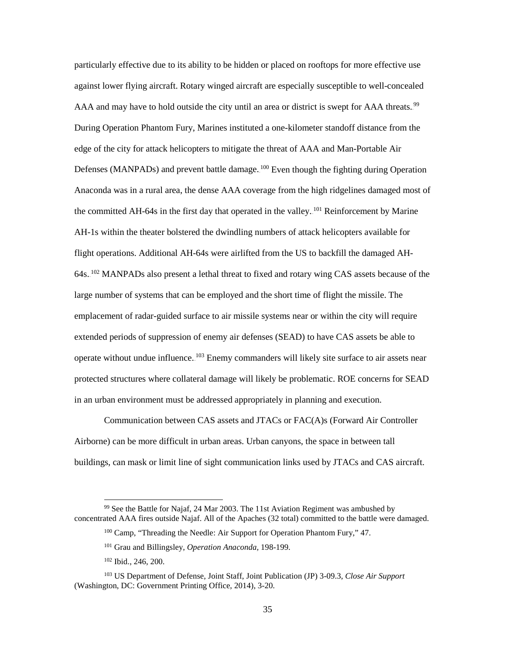particularly effective due to its ability to be hidden or placed on rooftops for more effective use against lower flying aircraft. Rotary winged aircraft are especially susceptible to well-concealed AAA and may have to hold outside the city until an area or district is swept for AAA threats.<sup>99</sup> During Operation Phantom Fury, Marines instituted a one-kilometer standoff distance from the edge of the city for attack helicopters to mitigate the threat of AAA and Man-Portable Air Defenses (MANPADs) and prevent battle damage.<sup>100</sup> Even though the fighting during Operation Anaconda was in a rural area, the dense AAA coverage from the high ridgelines damaged most of the committed AH-64s in the first day that operated in the valley. <sup>101</sup> Reinforcement by Marine AH-1s within the theater bolstered the dwindling numbers of attack helicopters available for flight operations. Additional AH-64s were airlifted from the US to backfill the damaged AH-64s.<sup>102</sup> MANPADs also present a lethal threat to fixed and rotary wing CAS assets because of the large number of systems that can be employed and the short time of flight the missile. The emplacement of radar-guided surface to air missile systems near or within the city will require extended periods of suppression of enemy air defenses (SEAD) to have CAS assets be able to operate without undue influence. <sup>103</sup> Enemy commanders will likely site surface to air assets near protected structures where collateral damage will likely be problematic. ROE concerns for SEAD in an urban environment must be addressed appropriately in planning and execution.

Communication between CAS assets and JTACs or FAC(A)s (Forward Air Controller Airborne) can be more difficult in urban areas. Urban canyons, the space in between tall buildings, can mask or limit line of sight communication links used by JTACs and CAS aircraft.

<sup>99</sup> See the Battle for Najaf, 24 Mar 2003. The 11st Aviation Regiment was ambushed by concentrated AAA fires outside Najaf. All of the Apaches (32 total) committed to the battle were damaged.

<sup>&</sup>lt;sup>100</sup> Camp, "Threading the Needle: Air Support for Operation Phantom Fury," 47.

<sup>101</sup> Grau and Billingsley, *Operation Anaconda,* 198-199.

<sup>102</sup> Ibid., 246, 200.

<sup>103</sup> US Department of Defense, Joint Staff, Joint Publication (JP) 3-09.3, *Close Air Support* (Washington, DC: Government Printing Office, 2014), 3-20.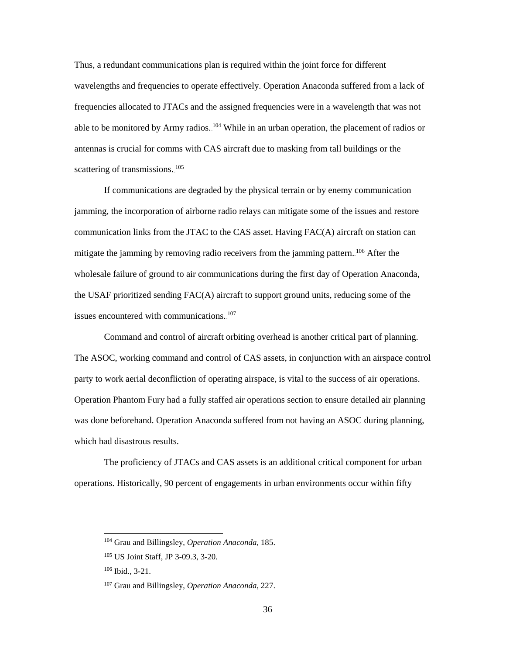Thus, a redundant communications plan is required within the joint force for different wavelengths and frequencies to operate effectively. Operation Anaconda suffered from a lack of frequencies allocated to JTACs and the assigned frequencies were in a wavelength that was not able to be monitored by Army radios. <sup>104</sup> While in an urban operation, the placement of radios or antennas is crucial for comms with CAS aircraft due to masking from tall buildings or the scattering of transmissions.<sup>105</sup>

If communications are degraded by the physical terrain or by enemy communication jamming, the incorporation of airborne radio relays can mitigate some of the issues and restore communication links from the JTAC to the CAS asset. Having FAC(A) aircraft on station can mitigate the jamming by removing radio receivers from the jamming pattern. <sup>106</sup> After the wholesale failure of ground to air communications during the first day of Operation Anaconda, the USAF prioritized sending FAC(A) aircraft to support ground units, reducing some of the issues encountered with communications.<sup>107</sup>

Command and control of aircraft orbiting overhead is another critical part of planning. The ASOC, working command and control of CAS assets, in conjunction with an airspace control party to work aerial deconfliction of operating airspace, is vital to the success of air operations. Operation Phantom Fury had a fully staffed air operations section to ensure detailed air planning was done beforehand. Operation Anaconda suffered from not having an ASOC during planning, which had disastrous results.

The proficiency of JTACs and CAS assets is an additional critical component for urban operations. Historically, 90 percent of engagements in urban environments occur within fifty

<sup>104</sup> Grau and Billingsley, *Operation Anaconda,* 185.

<sup>105</sup> US Joint Staff, JP 3-09.3, 3-20.

<sup>106</sup> Ibid., 3-21.

<sup>107</sup> Grau and Billingsley, *Operation Anaconda,* 227.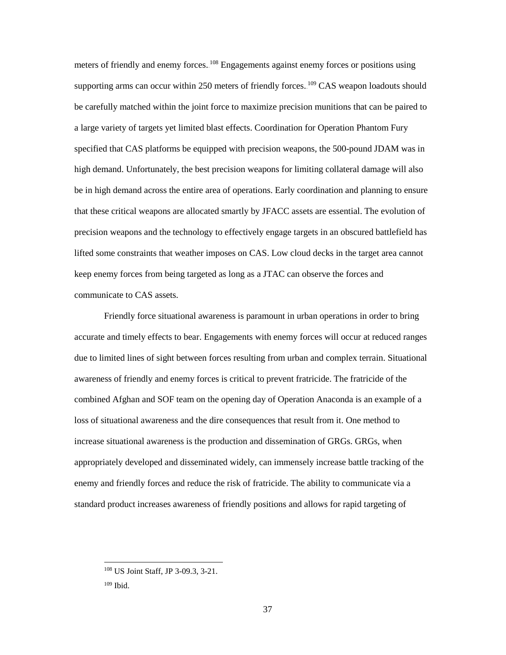meters of friendly and enemy forces. <sup>108</sup> Engagements against enemy forces or positions using supporting arms can occur within 250 meters of friendly forces. <sup>109</sup> CAS weapon loadouts should be carefully matched within the joint force to maximize precision munitions that can be paired to a large variety of targets yet limited blast effects. Coordination for Operation Phantom Fury specified that CAS platforms be equipped with precision weapons, the 500-pound JDAM was in high demand. Unfortunately, the best precision weapons for limiting collateral damage will also be in high demand across the entire area of operations. Early coordination and planning to ensure that these critical weapons are allocated smartly by JFACC assets are essential. The evolution of precision weapons and the technology to effectively engage targets in an obscured battlefield has lifted some constraints that weather imposes on CAS. Low cloud decks in the target area cannot keep enemy forces from being targeted as long as a JTAC can observe the forces and communicate to CAS assets.

Friendly force situational awareness is paramount in urban operations in order to bring accurate and timely effects to bear. Engagements with enemy forces will occur at reduced ranges due to limited lines of sight between forces resulting from urban and complex terrain. Situational awareness of friendly and enemy forces is critical to prevent fratricide. The fratricide of the combined Afghan and SOF team on the opening day of Operation Anaconda is an example of a loss of situational awareness and the dire consequences that result from it. One method to increase situational awareness is the production and dissemination of GRGs. GRGs, when appropriately developed and disseminated widely, can immensely increase battle tracking of the enemy and friendly forces and reduce the risk of fratricide. The ability to communicate via a standard product increases awareness of friendly positions and allows for rapid targeting of

<sup>108</sup> US Joint Staff, JP 3-09.3, 3-21.

<sup>109</sup> Ibid.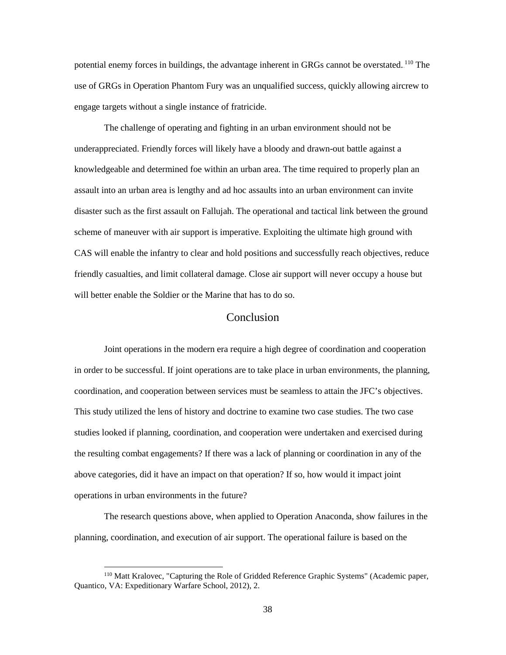potential enemy forces in buildings, the advantage inherent in GRGs cannot be overstated. <sup>110</sup> The use of GRGs in Operation Phantom Fury was an unqualified success, quickly allowing aircrew to engage targets without a single instance of fratricide.

The challenge of operating and fighting in an urban environment should not be underappreciated. Friendly forces will likely have a bloody and drawn-out battle against a knowledgeable and determined foe within an urban area. The time required to properly plan an assault into an urban area is lengthy and ad hoc assaults into an urban environment can invite disaster such as the first assault on Fallujah. The operational and tactical link between the ground scheme of maneuver with air support is imperative. Exploiting the ultimate high ground with CAS will enable the infantry to clear and hold positions and successfully reach objectives, reduce friendly casualties, and limit collateral damage. Close air support will never occupy a house but will better enable the Soldier or the Marine that has to do so.

#### Conclusion

<span id="page-46-0"></span>Joint operations in the modern era require a high degree of coordination and cooperation in order to be successful. If joint operations are to take place in urban environments, the planning, coordination, and cooperation between services must be seamless to attain the JFC's objectives. This study utilized the lens of history and doctrine to examine two case studies. The two case studies looked if planning, coordination, and cooperation were undertaken and exercised during the resulting combat engagements? If there was a lack of planning or coordination in any of the above categories, did it have an impact on that operation? If so, how would it impact joint operations in urban environments in the future?

The research questions above, when applied to Operation Anaconda, show failures in the planning, coordination, and execution of air support. The operational failure is based on the

<sup>110</sup> Matt Kralovec, "Capturing the Role of Gridded Reference Graphic Systems" (Academic paper, Quantico, VA: Expeditionary Warfare School, 2012), 2.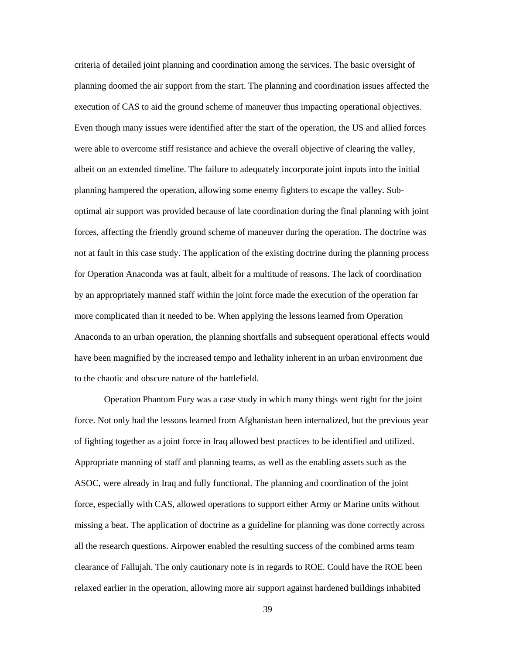criteria of detailed joint planning and coordination among the services. The basic oversight of planning doomed the air support from the start. The planning and coordination issues affected the execution of CAS to aid the ground scheme of maneuver thus impacting operational objectives. Even though many issues were identified after the start of the operation, the US and allied forces were able to overcome stiff resistance and achieve the overall objective of clearing the valley, albeit on an extended timeline. The failure to adequately incorporate joint inputs into the initial planning hampered the operation, allowing some enemy fighters to escape the valley. Suboptimal air support was provided because of late coordination during the final planning with joint forces, affecting the friendly ground scheme of maneuver during the operation. The doctrine was not at fault in this case study. The application of the existing doctrine during the planning process for Operation Anaconda was at fault, albeit for a multitude of reasons. The lack of coordination by an appropriately manned staff within the joint force made the execution of the operation far more complicated than it needed to be. When applying the lessons learned from Operation Anaconda to an urban operation, the planning shortfalls and subsequent operational effects would have been magnified by the increased tempo and lethality inherent in an urban environment due to the chaotic and obscure nature of the battlefield.

Operation Phantom Fury was a case study in which many things went right for the joint force. Not only had the lessons learned from Afghanistan been internalized, but the previous year of fighting together as a joint force in Iraq allowed best practices to be identified and utilized. Appropriate manning of staff and planning teams, as well as the enabling assets such as the ASOC, were already in Iraq and fully functional. The planning and coordination of the joint force, especially with CAS, allowed operations to support either Army or Marine units without missing a beat. The application of doctrine as a guideline for planning was done correctly across all the research questions. Airpower enabled the resulting success of the combined arms team clearance of Fallujah. The only cautionary note is in regards to ROE. Could have the ROE been relaxed earlier in the operation, allowing more air support against hardened buildings inhabited

39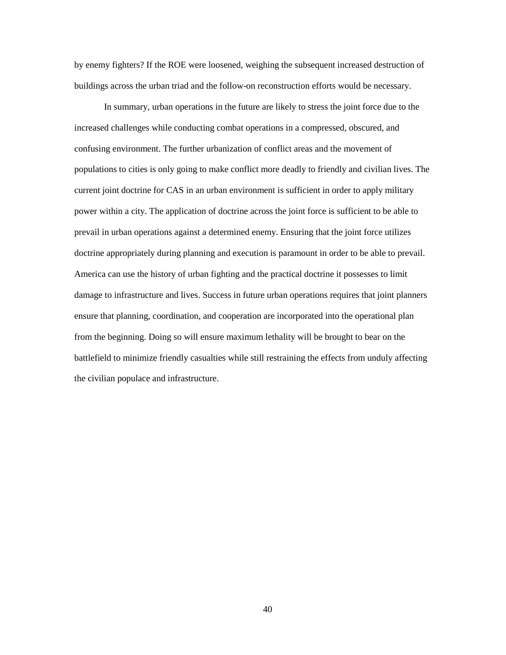by enemy fighters? If the ROE were loosened, weighing the subsequent increased destruction of buildings across the urban triad and the follow-on reconstruction efforts would be necessary.

In summary, urban operations in the future are likely to stress the joint force due to the increased challenges while conducting combat operations in a compressed, obscured, and confusing environment. The further urbanization of conflict areas and the movement of populations to cities is only going to make conflict more deadly to friendly and civilian lives. The current joint doctrine for CAS in an urban environment is sufficient in order to apply military power within a city. The application of doctrine across the joint force is sufficient to be able to prevail in urban operations against a determined enemy. Ensuring that the joint force utilizes doctrine appropriately during planning and execution is paramount in order to be able to prevail. America can use the history of urban fighting and the practical doctrine it possesses to limit damage to infrastructure and lives. Success in future urban operations requires that joint planners ensure that planning, coordination, and cooperation are incorporated into the operational plan from the beginning. Doing so will ensure maximum lethality will be brought to bear on the battlefield to minimize friendly casualties while still restraining the effects from unduly affecting the civilian populace and infrastructure.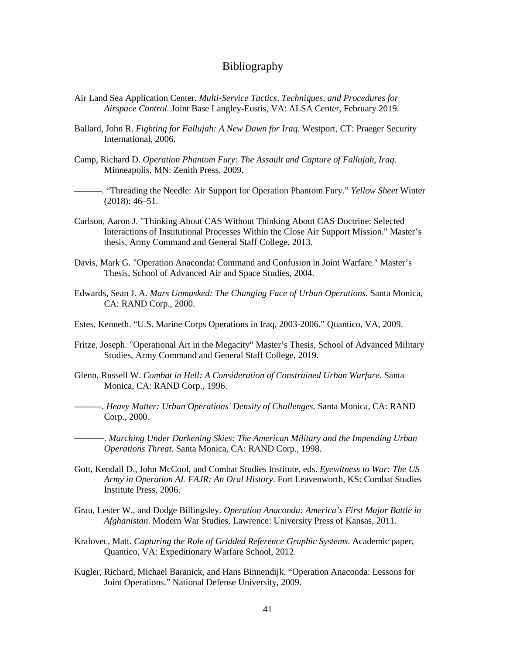#### Bibliography

- <span id="page-49-0"></span>Air Land Sea Application Center. *Multi-Service Tactics, Techniques, and Procedures for Airspace Control.* Joint Base Langley-Eustis, VA: ALSA Center, February 2019.
- Ballard, John R. *Fighting for Fallujah: A New Dawn for Iraq*. Westport, CT: Praeger Security International, 2006.
- Camp, Richard D. *Operation Phantom Fury: The Assault and Capture of Fallujah, Iraq*. Minneapolis, MN: Zenith Press, 2009.
- ———. "Threading the Needle: Air Support for Operation Phantom Fury." *Yellow Sheet* Winter (2018): 46–51.
- Carlson, Aaron J. "Thinking About CAS Without Thinking About CAS Doctrine: Selected Interactions of Institutional Processes Within the Close Air Support Mission." Master's thesis, Army Command and General Staff College, 2013.
- Davis, Mark G. "Operation Anaconda: Command and Confusion in Joint Warfare." Master's Thesis, School of Advanced Air and Space Studies, 2004.
- Edwards, Sean J. A. *Mars Unmasked: The Changing Face of Urban Operations.* Santa Monica, CA: RAND Corp., 2000.
- Estes, Kenneth. "U.S. Marine Corps Operations in Iraq, 2003-2006." Quantico, VA, 2009.
- Fritze, Joseph. "Operational Art in the Megacity" Master's Thesis, School of Advanced Military Studies, Army Command and General Staff College, 2019.
- Glenn, Russell W. *Combat in Hell: A Consideration of Constrained Urban Warfare*. Santa Monica, CA: RAND Corp., 1996.
	- ———. *Heavy Matter: Urban Operations' Density of Challenges.* Santa Monica, CA: RAND Corp., 2000.
- ———. *Marching Under Darkening Skies: The American Military and the Impending Urban Operations Threat.* Santa Monica, CA: RAND Corp., 1998.
- Gott, Kendall D., John McCool, and Combat Studies Institute, eds. *Eyewitness to War: The US Army in Operation AL FAJR: An Oral History*. Fort Leavenworth, KS: Combat Studies Institute Press, 2006.
- Grau, Lester W., and Dodge Billingsley. *Operation Anaconda: America's First Major Battle in Afghanistan*. Modern War Studies. Lawrence: University Press of Kansas, 2011.
- Kralovec, Matt. *Capturing the Role of Gridded Reference Graphic Systems*. Academic paper, Quantico, VA: Expeditionary Warfare School, 2012.
- Kugler, Richard, Michael Baranick, and Hans Binnendijk. "Operation Anaconda: Lessons for Joint Operations." National Defense University, 2009.